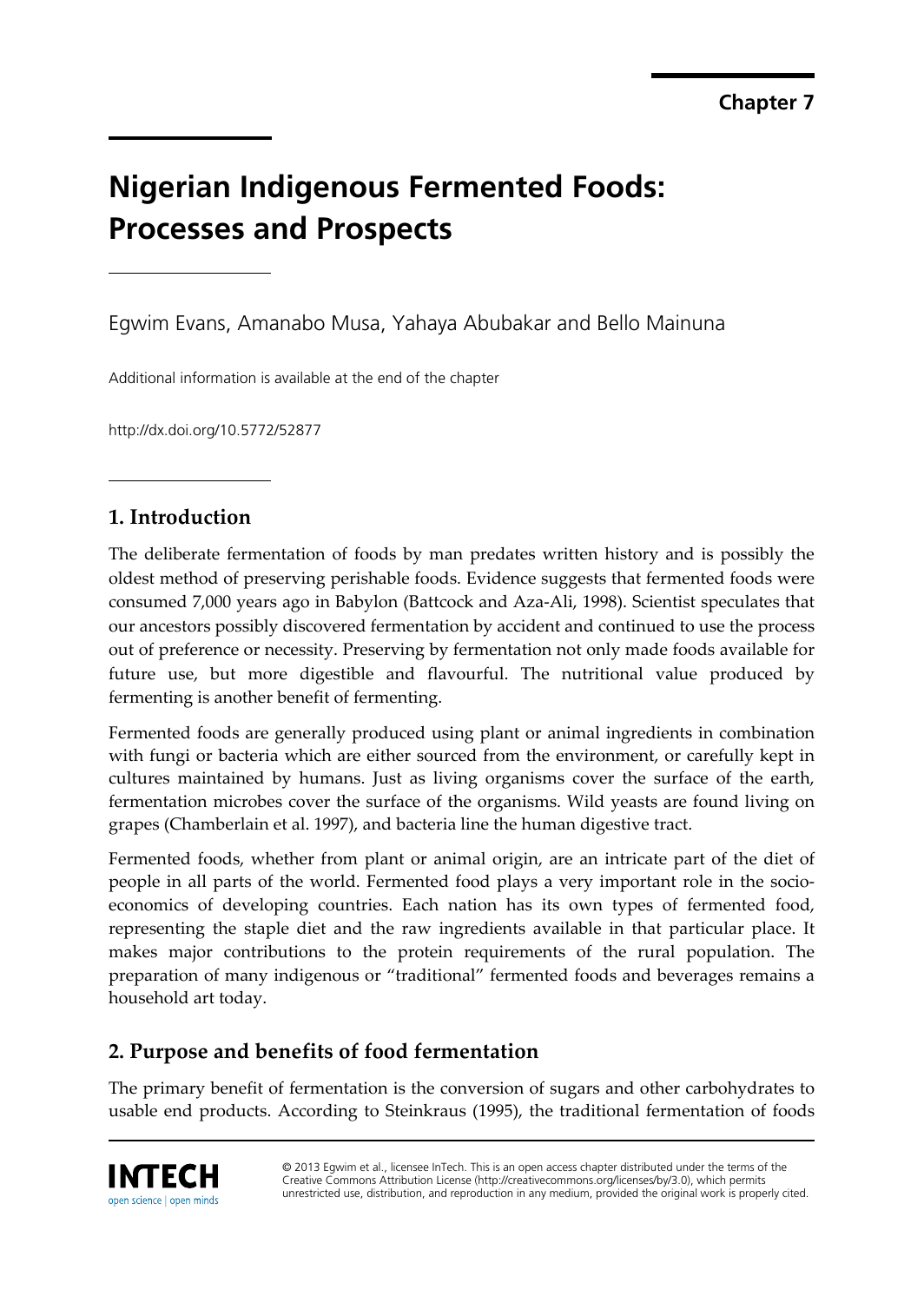**Chapter 7** 

# **Nigerian Indigenous Fermented Foods: Processes and Prospects**

Egwim Evans, Amanabo Musa, Yahaya Abubakar and Bello Mainuna

Additional information is available at the end of the chapter

http://dx.doi.org/10.5772/52877

# **1. Introduction**

The deliberate fermentation of foods by man predates written history and is possibly the oldest method of preserving perishable foods. Evidence suggests that fermented foods were consumed 7,000 years ago in Babylon (Battcock and Aza-Ali, 1998). Scientist speculates that our ancestors possibly discovered fermentation by accident and continued to use the process out of preference or necessity. Preserving by fermentation not only made foods available for future use, but more digestible and flavourful. The nutritional value produced by fermenting is another benefit of fermenting.

Fermented foods are generally produced using plant or animal ingredients in combination with fungi or bacteria which are either sourced from the environment, or carefully kept in cultures maintained by humans. Just as living organisms cover the surface of the earth, fermentation microbes cover the surface of the organisms. Wild yeasts are found living on grapes (Chamberlain et al. 1997), and bacteria line the human digestive tract.

Fermented foods, whether from plant or animal origin, are an intricate part of the diet of people in all parts of the world. Fermented food plays a very important role in the socioeconomics of developing countries. Each nation has its own types of fermented food, representing the staple diet and the raw ingredients available in that particular place. It makes major contributions to the protein requirements of the rural population. The preparation of many indigenous or "traditional" fermented foods and beverages remains a household art today.

# **2. Purpose and benefits of food fermentation**

The primary benefit of fermentation is the conversion of sugars and other carbohydrates to usable end products. According to Steinkraus (1995), the traditional fermentation of foods

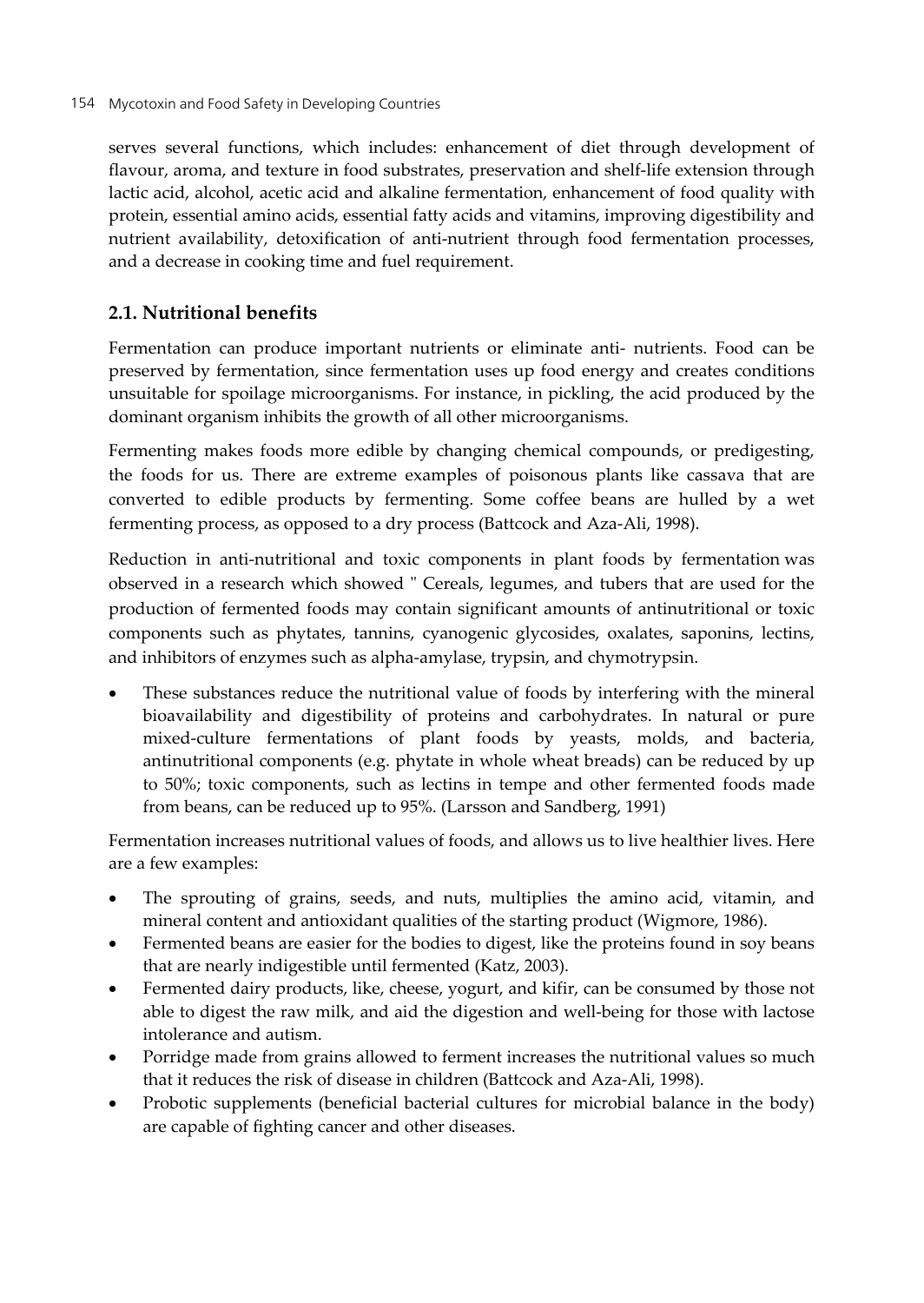serves several functions, which includes: enhancement of diet through development of flavour, aroma, and texture in food substrates, preservation and shelf-life extension through lactic acid, alcohol, acetic acid and alkaline fermentation, enhancement of food quality with protein, essential amino acids, essential fatty acids and vitamins, improving digestibility and nutrient availability, detoxification of anti-nutrient through food fermentation processes, and a decrease in cooking time and fuel requirement.

### **2.1. Nutritional benefits**

Fermentation can produce important nutrients or eliminate anti- nutrients. Food can be preserved by fermentation, since fermentation uses up food energy and creates conditions unsuitable for spoilage microorganisms. For instance, in pickling, the acid produced by the dominant organism inhibits the growth of all other microorganisms.

Fermenting makes foods more edible by changing chemical compounds, or predigesting, the foods for us. There are extreme examples of poisonous plants like cassava that are converted to edible products by fermenting. Some coffee beans are hulled by a wet fermenting process, as opposed to a dry process (Battcock and Aza-Ali, 1998).

Reduction in anti-nutritional and toxic components in plant foods by fermentation was observed in a research which showed " Cereals, legumes, and tubers that are used for the production of fermented foods may contain significant amounts of antinutritional or toxic components such as phytates, tannins, cyanogenic glycosides, oxalates, saponins, lectins, and inhibitors of enzymes such as alpha-amylase, trypsin, and chymotrypsin.

 These substances reduce the nutritional value of foods by interfering with the mineral bioavailability and digestibility of proteins and carbohydrates. In natural or pure mixed-culture fermentations of plant foods by yeasts, molds, and bacteria, antinutritional components (e.g. phytate in whole wheat breads) can be reduced by up to 50%; toxic components, such as lectins in tempe and other fermented foods made from beans, can be reduced up to 95%. (Larsson and Sandberg, 1991)

Fermentation increases nutritional values of foods, and allows us to live healthier lives. Here are a few examples:

- The sprouting of grains, seeds, and nuts, multiplies the amino acid, vitamin, and mineral content and antioxidant qualities of the starting product (Wigmore, 1986).
- Fermented beans are easier for the bodies to digest, like the proteins found in soy beans that are nearly indigestible until fermented (Katz, 2003).
- Fermented dairy products, like, cheese, yogurt, and kifir, can be consumed by those not able to digest the raw milk, and aid the digestion and well-being for those with lactose intolerance and autism.
- Porridge made from grains allowed to ferment increases the nutritional values so much that it reduces the risk of disease in children (Battcock and Aza-Ali, 1998).
- Probotic supplements (beneficial bacterial cultures for microbial balance in the body) are capable of fighting cancer and other diseases.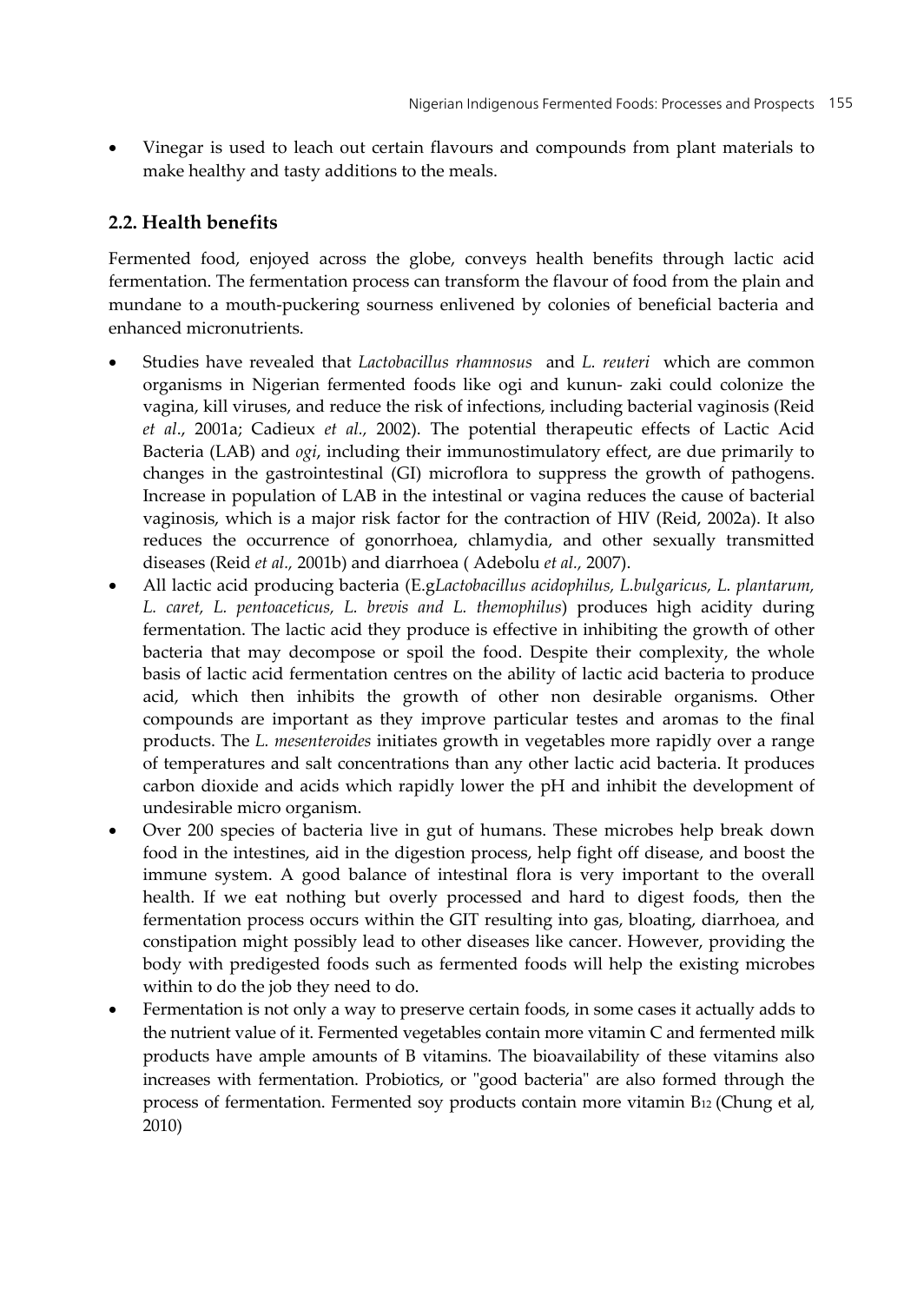Vinegar is used to leach out certain flavours and compounds from plant materials to make healthy and tasty additions to the meals.

### **2.2. Health benefits**

Fermented food, enjoyed across the globe, conveys health benefits through lactic acid fermentation. The fermentation process can transform the flavour of food from the plain and mundane to a mouth-puckering sourness enlivened by colonies of beneficial bacteria and enhanced micronutrients.

- Studies have revealed that *Lactobacillus rhamnosus* and *L. reuteri* which are common organisms in Nigerian fermented foods like ogi and kunun- zaki could colonize the vagina, kill viruses, and reduce the risk of infections, including bacterial vaginosis (Reid *et al*., 2001a; Cadieux *et al.,* 2002). The potential therapeutic effects of Lactic Acid Bacteria (LAB) and *ogi*, including their immunostimulatory effect, are due primarily to changes in the gastrointestinal (GI) microflora to suppress the growth of pathogens. Increase in population of LAB in the intestinal or vagina reduces the cause of bacterial vaginosis, which is a major risk factor for the contraction of HIV (Reid, 2002a). It also reduces the occurrence of gonorrhoea, chlamydia, and other sexually transmitted diseases (Reid *et al.,* 2001b) and diarrhoea ( Adebolu *et al.,* 2007).
- All lactic acid producing bacteria (E.g*Lactobacillus acidophilus, L.bulgaricus, L. plantarum, L. caret, L. pentoaceticus, L. brevis and L. themophilus*) produces high acidity during fermentation. The lactic acid they produce is effective in inhibiting the growth of other bacteria that may decompose or spoil the food. Despite their complexity, the whole basis of lactic acid fermentation centres on the ability of lactic acid bacteria to produce acid, which then inhibits the growth of other non desirable organisms. Other compounds are important as they improve particular testes and aromas to the final products. The *L. mesenteroides* initiates growth in vegetables more rapidly over a range of temperatures and salt concentrations than any other lactic acid bacteria. It produces carbon dioxide and acids which rapidly lower the pH and inhibit the development of undesirable micro organism.
- Over 200 species of bacteria live in gut of humans. These microbes help break down food in the intestines, aid in the digestion process, help fight off disease, and boost the immune system. A good balance of intestinal flora is very important to the overall health. If we eat nothing but overly processed and hard to digest foods, then the fermentation process occurs within the GIT resulting into gas, bloating, diarrhoea, and constipation might possibly lead to other diseases like cancer. However, providing the body with predigested foods such as fermented foods will help the existing microbes within to do the job they need to do.
- Fermentation is not only a way to preserve certain foods, in some cases it actually adds to the nutrient value of it. Fermented vegetables contain more vitamin C and fermented milk products have ample amounts of B vitamins. The bioavailability of these vitamins also increases with fermentation. Probiotics, or "good bacteria" are also formed through the process of fermentation. Fermented soy products contain more vitamin B<sub>12</sub> (Chung et al, 2010)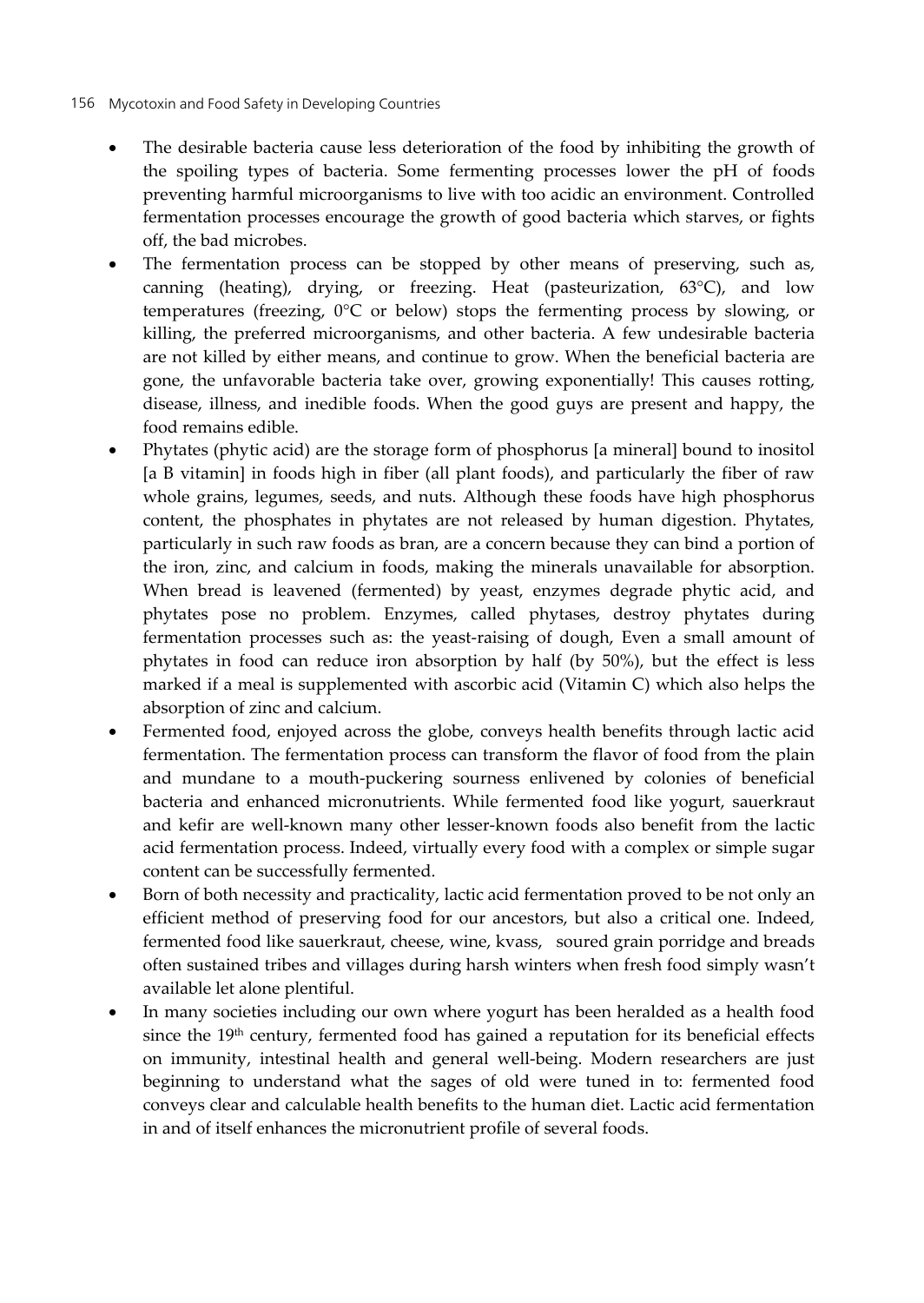- The desirable bacteria cause less deterioration of the food by inhibiting the growth of the spoiling types of bacteria. Some fermenting processes lower the pH of foods preventing harmful microorganisms to live with too acidic an environment. Controlled fermentation processes encourage the growth of good bacteria which starves, or fights off, the bad microbes.
- The fermentation process can be stopped by other means of preserving, such as, canning (heating), drying, or freezing. Heat (pasteurization, 63°C), and low temperatures (freezing, 0°C or below) stops the fermenting process by slowing, or killing, the preferred microorganisms, and other bacteria. A few undesirable bacteria are not killed by either means, and continue to grow. When the beneficial bacteria are gone, the unfavorable bacteria take over, growing exponentially! This causes rotting, disease, illness, and inedible foods. When the good guys are present and happy, the food remains edible.
- Phytates (phytic acid) are the storage form of phosphorus [a mineral] bound to inositol [a B vitamin] in foods high in fiber (all plant foods), and particularly the fiber of raw whole grains, legumes, seeds, and nuts. Although these foods have high phosphorus content, the phosphates in phytates are not released by human digestion. Phytates, particularly in such raw foods as bran, are a concern because they can bind a portion of the iron, zinc, and calcium in foods, making the minerals unavailable for absorption. When bread is leavened (fermented) by yeast, enzymes degrade phytic acid, and phytates pose no problem. Enzymes, called phytases, destroy phytates during fermentation processes such as: the yeast-raising of dough, Even a small amount of phytates in food can reduce iron absorption by half (by 50%), but the effect is less marked if a meal is supplemented with ascorbic acid (Vitamin C) which also helps the absorption of zinc and calcium.
- Fermented food, enjoyed across the globe, conveys health benefits through lactic acid fermentation. The fermentation process can transform the flavor of food from the plain and mundane to a mouth-puckering sourness enlivened by colonies of beneficial bacteria and enhanced micronutrients. While fermented food like yogurt, sauerkraut and kefir are well-known many other lesser-known foods also benefit from the lactic acid fermentation process. Indeed, virtually every food with a complex or simple sugar content can be successfully fermented.
- Born of both necessity and practicality, lactic acid fermentation proved to be not only an efficient method of preserving food for our ancestors, but also a critical one. Indeed, fermented food like sauerkraut, cheese, wine, kvass, soured grain porridge and breads often sustained tribes and villages during harsh winters when fresh food simply wasn't available let alone plentiful.
- In many societies including our own where yogurt has been heralded as a health food since the  $19<sup>th</sup>$  century, fermented food has gained a reputation for its beneficial effects on immunity, intestinal health and general well-being. Modern researchers are just beginning to understand what the sages of old were tuned in to: fermented food conveys clear and calculable health benefits to the human diet. Lactic acid fermentation in and of itself enhances the micronutrient profile of several foods.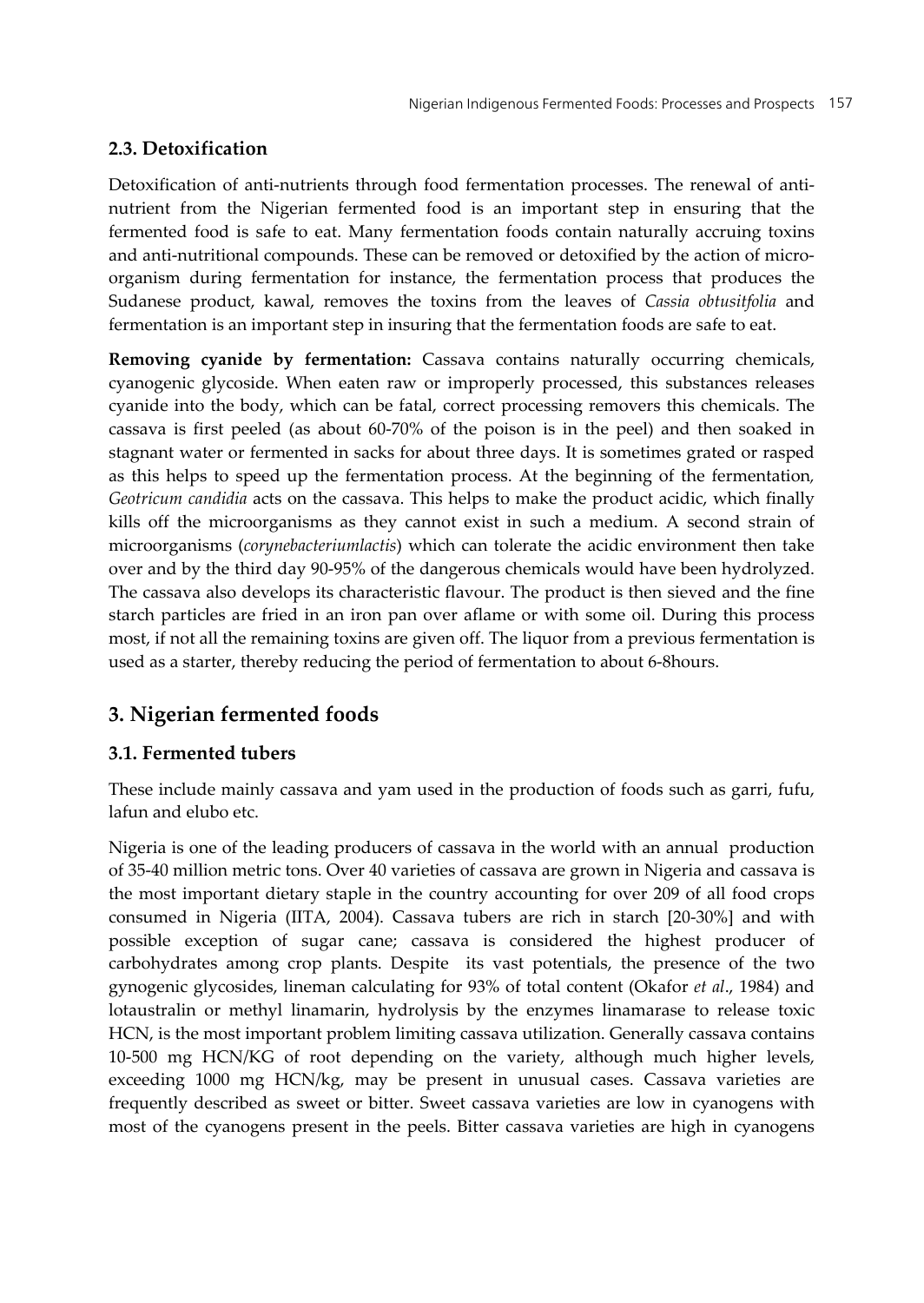### **2.3. Detoxification**

Detoxification of anti-nutrients through food fermentation processes. The renewal of antinutrient from the Nigerian fermented food is an important step in ensuring that the fermented food is safe to eat. Many fermentation foods contain naturally accruing toxins and anti-nutritional compounds. These can be removed or detoxified by the action of microorganism during fermentation for instance, the fermentation process that produces the Sudanese product, kawal, removes the toxins from the leaves of *Cassia obtusitfolia* and fermentation is an important step in insuring that the fermentation foods are safe to eat.

**Removing cyanide by fermentation:** Cassava contains naturally occurring chemicals, cyanogenic glycoside. When eaten raw or improperly processed, this substances releases cyanide into the body, which can be fatal, correct processing removers this chemicals. The cassava is first peeled (as about 60-70% of the poison is in the peel) and then soaked in stagnant water or fermented in sacks for about three days. It is sometimes grated or rasped as this helps to speed up the fermentation process. At the beginning of the fermentation*, Geotricum candidia* acts on the cassava. This helps to make the product acidic, which finally kills off the microorganisms as they cannot exist in such a medium. A second strain of microorganisms (*corynebacteriumlactis*) which can tolerate the acidic environment then take over and by the third day 90-95% of the dangerous chemicals would have been hydrolyzed. The cassava also develops its characteristic flavour. The product is then sieved and the fine starch particles are fried in an iron pan over aflame or with some oil. During this process most, if not all the remaining toxins are given off. The liquor from a previous fermentation is used as a starter, thereby reducing the period of fermentation to about 6-8hours.

# **3. Nigerian fermented foods**

### **3.1. Fermented tubers**

These include mainly cassava and yam used in the production of foods such as garri, fufu, lafun and elubo etc.

Nigeria is one of the leading producers of cassava in the world with an annual production of 35-40 million metric tons. Over 40 varieties of cassava are grown in Nigeria and cassava is the most important dietary staple in the country accounting for over 209 of all food crops consumed in Nigeria (IITA, 2004). Cassava tubers are rich in starch [20-30%] and with possible exception of sugar cane; cassava is considered the highest producer of carbohydrates among crop plants. Despite its vast potentials, the presence of the two gynogenic glycosides, lineman calculating for 93% of total content (Okafor *et al*., 1984) and lotaustralin or methyl linamarin, hydrolysis by the enzymes linamarase to release toxic HCN, is the most important problem limiting cassava utilization. Generally cassava contains 10-500 mg HCN/KG of root depending on the variety, although much higher levels, exceeding 1000 mg HCN/kg, may be present in unusual cases. Cassava varieties are frequently described as sweet or bitter. Sweet cassava varieties are low in cyanogens with most of the cyanogens present in the peels. Bitter cassava varieties are high in cyanogens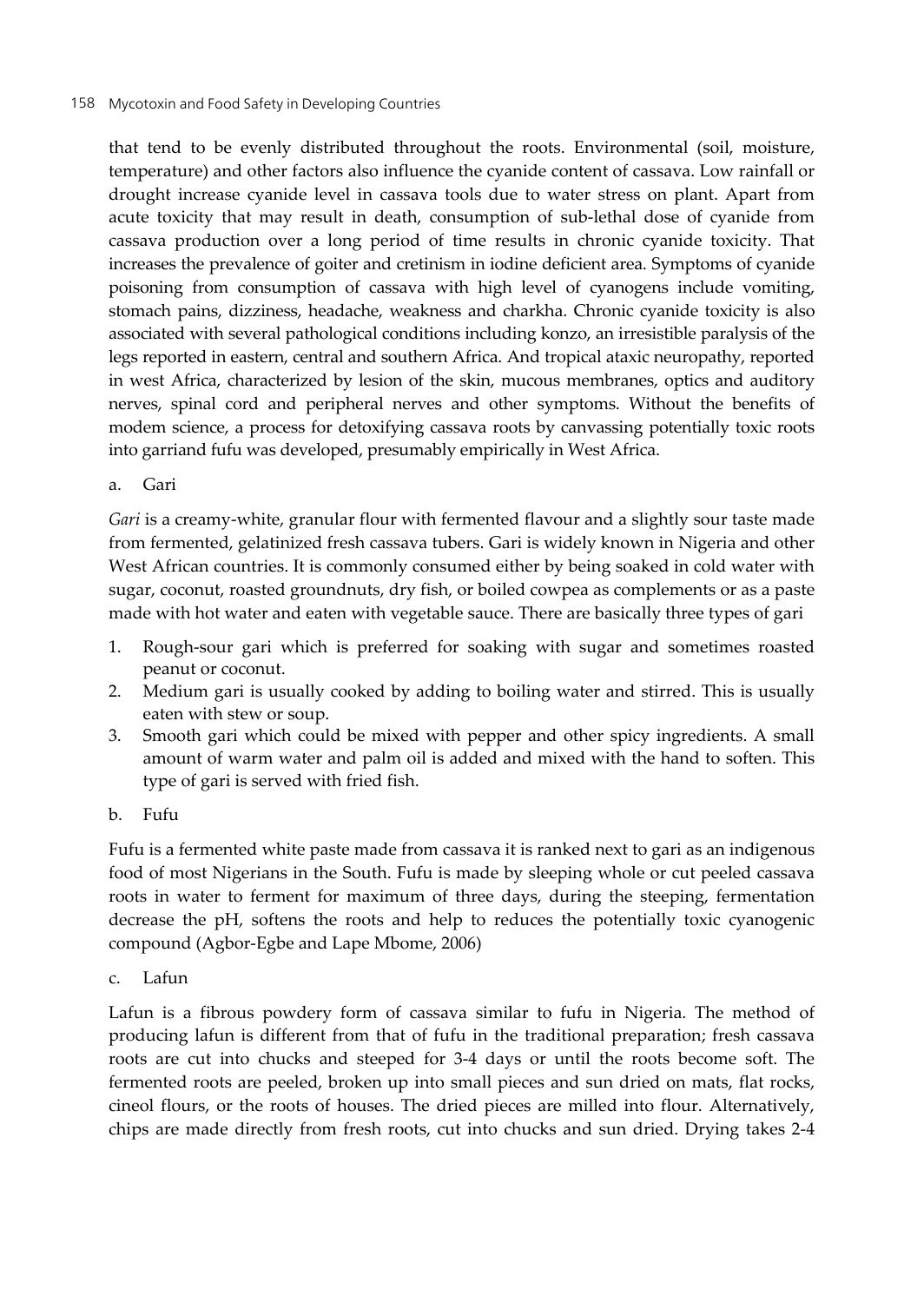that tend to be evenly distributed throughout the roots. Environmental (soil, moisture, temperature) and other factors also influence the cyanide content of cassava. Low rainfall or drought increase cyanide level in cassava tools due to water stress on plant. Apart from acute toxicity that may result in death, consumption of sub-lethal dose of cyanide from cassava production over a long period of time results in chronic cyanide toxicity. That increases the prevalence of goiter and cretinism in iodine deficient area. Symptoms of cyanide poisoning from consumption of cassava with high level of cyanogens include vomiting, stomach pains, dizziness, headache, weakness and charkha. Chronic cyanide toxicity is also associated with several pathological conditions including konzo, an irresistible paralysis of the legs reported in eastern, central and southern Africa. And tropical ataxic neuropathy, reported in west Africa, characterized by lesion of the skin, mucous membranes, optics and auditory nerves, spinal cord and peripheral nerves and other symptoms. Without the benefits of modem science, a process for detoxifying cassava roots by canvassing potentially toxic roots into garriand fufu was developed, presumably empirically in West Africa.

### a. Gari

*Gari* is a creamy-white, granular flour with fermented flavour and a slightly sour taste made from fermented, gelatinized fresh cassava tubers. Gari is widely known in Nigeria and other West African countries. It is commonly consumed either by being soaked in cold water with sugar, coconut, roasted groundnuts, dry fish, or boiled cowpea as complements or as a paste made with hot water and eaten with vegetable sauce. There are basically three types of gari

- 1. Rough-sour gari which is preferred for soaking with sugar and sometimes roasted peanut or coconut.
- 2. Medium gari is usually cooked by adding to boiling water and stirred. This is usually eaten with stew or soup.
- 3. Smooth gari which could be mixed with pepper and other spicy ingredients. A small amount of warm water and palm oil is added and mixed with the hand to soften. This type of gari is served with fried fish.

b. Fufu

Fufu is a fermented white paste made from cassava it is ranked next to gari as an indigenous food of most Nigerians in the South. Fufu is made by sleeping whole or cut peeled cassava roots in water to ferment for maximum of three days, during the steeping, fermentation decrease the pH, softens the roots and help to reduces the potentially toxic cyanogenic compound (Agbor-Egbe and Lape Mbome, 2006)

c. Lafun

Lafun is a fibrous powdery form of cassava similar to fufu in Nigeria. The method of producing lafun is different from that of fufu in the traditional preparation; fresh cassava roots are cut into chucks and steeped for 3-4 days or until the roots become soft. The fermented roots are peeled, broken up into small pieces and sun dried on mats, flat rocks, cineol flours, or the roots of houses. The dried pieces are milled into flour. Alternatively, chips are made directly from fresh roots, cut into chucks and sun dried. Drying takes 2-4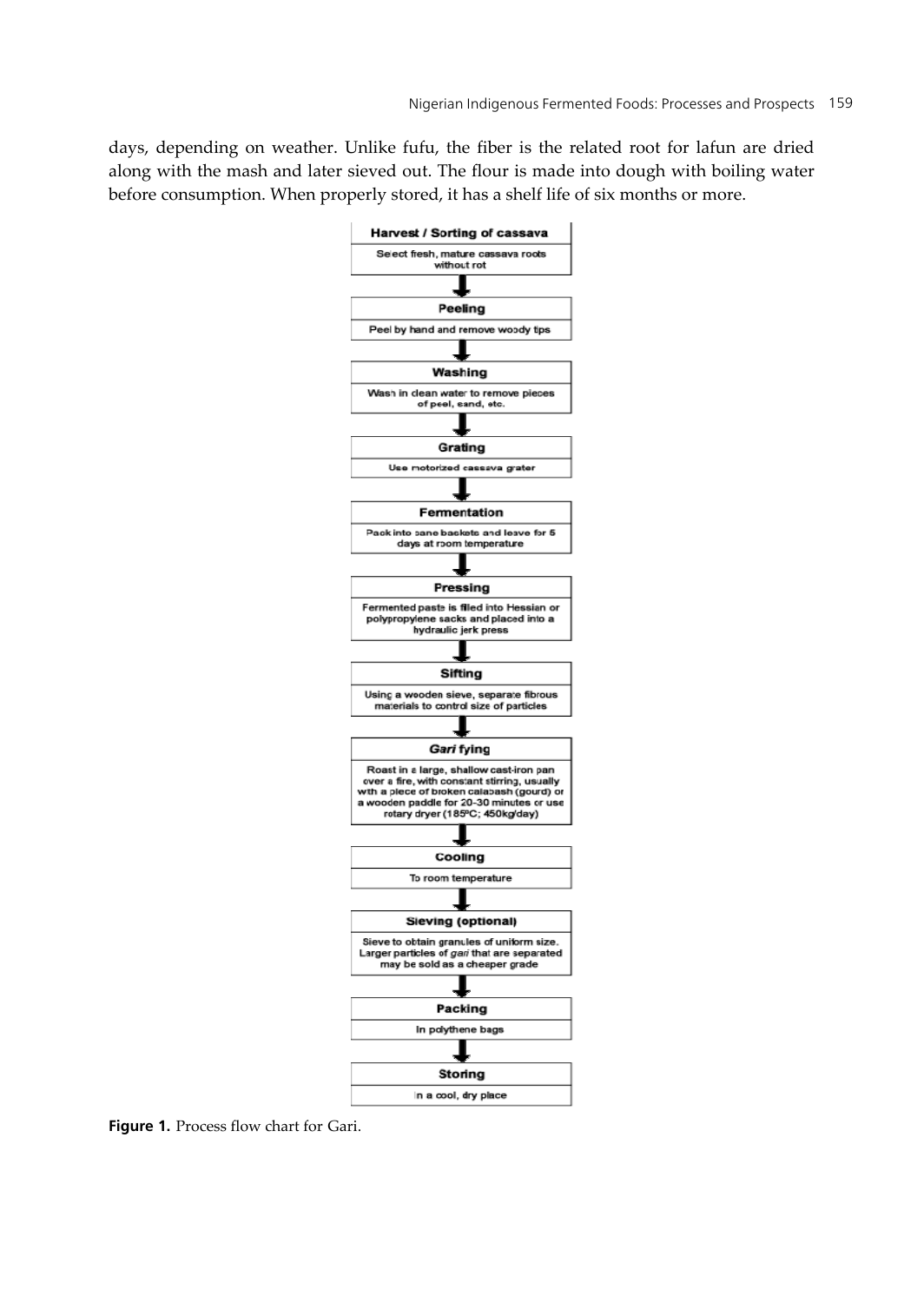days, depending on weather. Unlike fufu, the fiber is the related root for lafun are dried along with the mash and later sieved out. The flour is made into dough with boiling water before consumption. When properly stored, it has a shelf life of six months or more.



**Figure 1.** Process flow chart for Gari.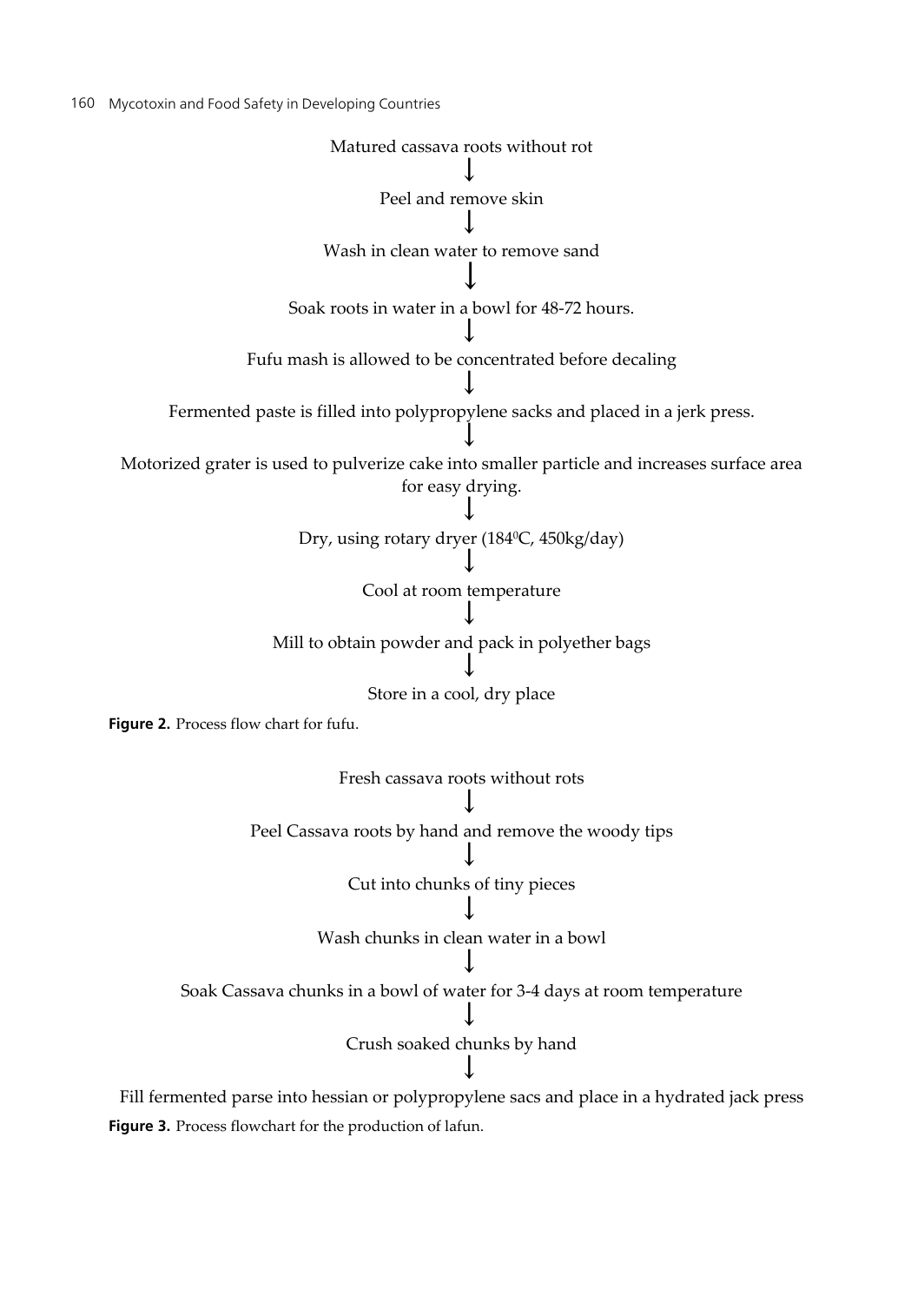

**Figure 3.** Process flowchart for the production of lafun.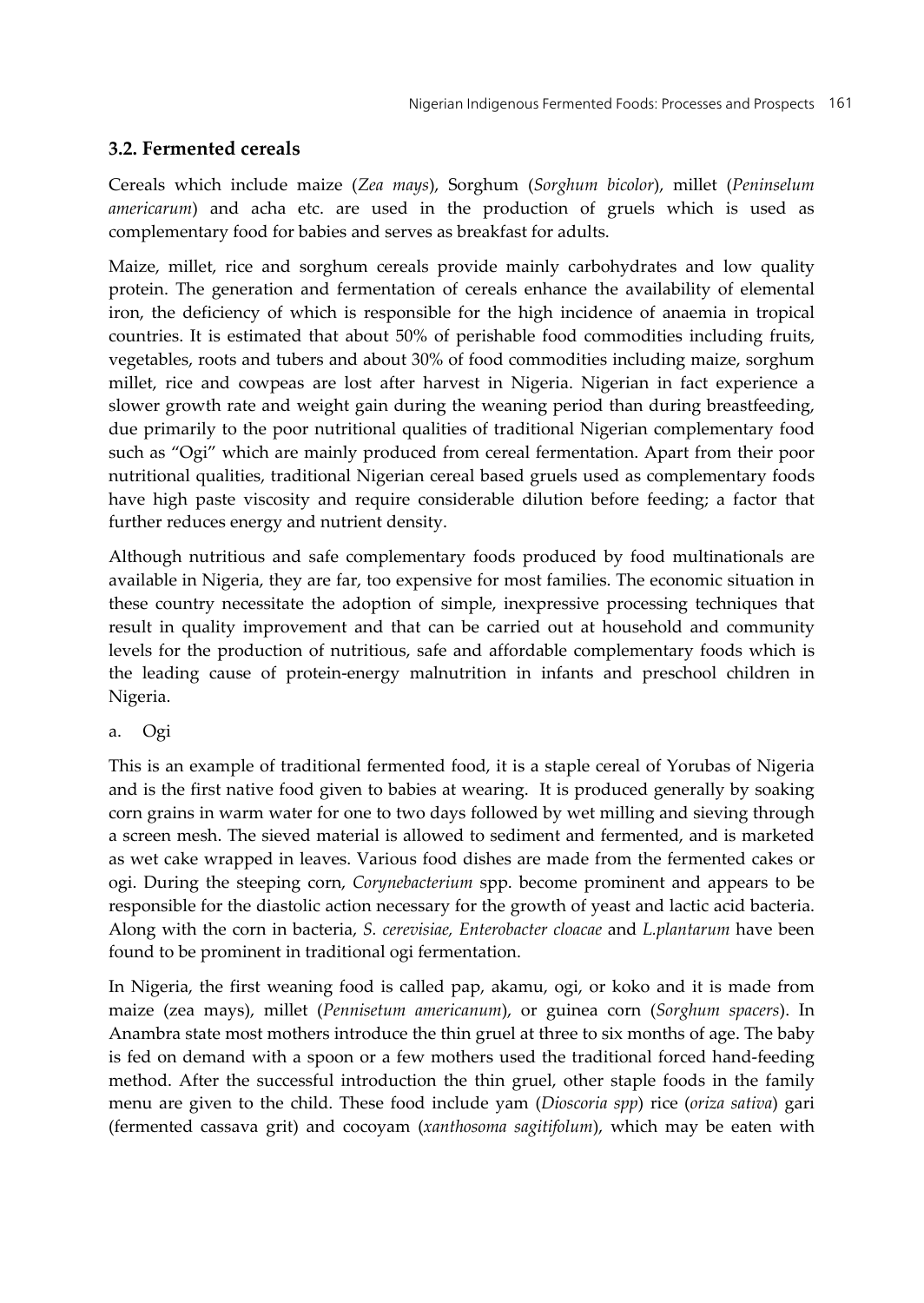### **3.2. Fermented cereals**

Cereals which include maize (*Zea mays*), Sorghum (*Sorghum bicolor*), millet (*Peninselum americarum*) and acha etc. are used in the production of gruels which is used as complementary food for babies and serves as breakfast for adults.

Maize, millet, rice and sorghum cereals provide mainly carbohydrates and low quality protein. The generation and fermentation of cereals enhance the availability of elemental iron, the deficiency of which is responsible for the high incidence of anaemia in tropical countries. It is estimated that about 50% of perishable food commodities including fruits, vegetables, roots and tubers and about 30% of food commodities including maize, sorghum millet, rice and cowpeas are lost after harvest in Nigeria. Nigerian in fact experience a slower growth rate and weight gain during the weaning period than during breastfeeding, due primarily to the poor nutritional qualities of traditional Nigerian complementary food such as "Ogi" which are mainly produced from cereal fermentation. Apart from their poor nutritional qualities, traditional Nigerian cereal based gruels used as complementary foods have high paste viscosity and require considerable dilution before feeding; a factor that further reduces energy and nutrient density.

Although nutritious and safe complementary foods produced by food multinationals are available in Nigeria, they are far, too expensive for most families. The economic situation in these country necessitate the adoption of simple, inexpressive processing techniques that result in quality improvement and that can be carried out at household and community levels for the production of nutritious, safe and affordable complementary foods which is the leading cause of protein-energy malnutrition in infants and preschool children in Nigeria.

### a. Ogi

This is an example of traditional fermented food, it is a staple cereal of Yorubas of Nigeria and is the first native food given to babies at wearing. It is produced generally by soaking corn grains in warm water for one to two days followed by wet milling and sieving through a screen mesh. The sieved material is allowed to sediment and fermented, and is marketed as wet cake wrapped in leaves. Various food dishes are made from the fermented cakes or ogi. During the steeping corn, *Corynebacterium* spp. become prominent and appears to be responsible for the diastolic action necessary for the growth of yeast and lactic acid bacteria. Along with the corn in bacteria, *S. cerevisiae, Enterobacter cloacae* and *L.plantarum* have been found to be prominent in traditional ogi fermentation.

In Nigeria, the first weaning food is called pap, akamu, ogi, or koko and it is made from maize (zea mays), millet (*Pennisetum americanum*), or guinea corn (*Sorghum spacers*). In Anambra state most mothers introduce the thin gruel at three to six months of age. The baby is fed on demand with a spoon or a few mothers used the traditional forced hand-feeding method. After the successful introduction the thin gruel, other staple foods in the family menu are given to the child. These food include yam (*Dioscoria spp*) rice (*oriza sativa*) gari (fermented cassava grit) and cocoyam (*xanthosoma sagitifolum*), which may be eaten with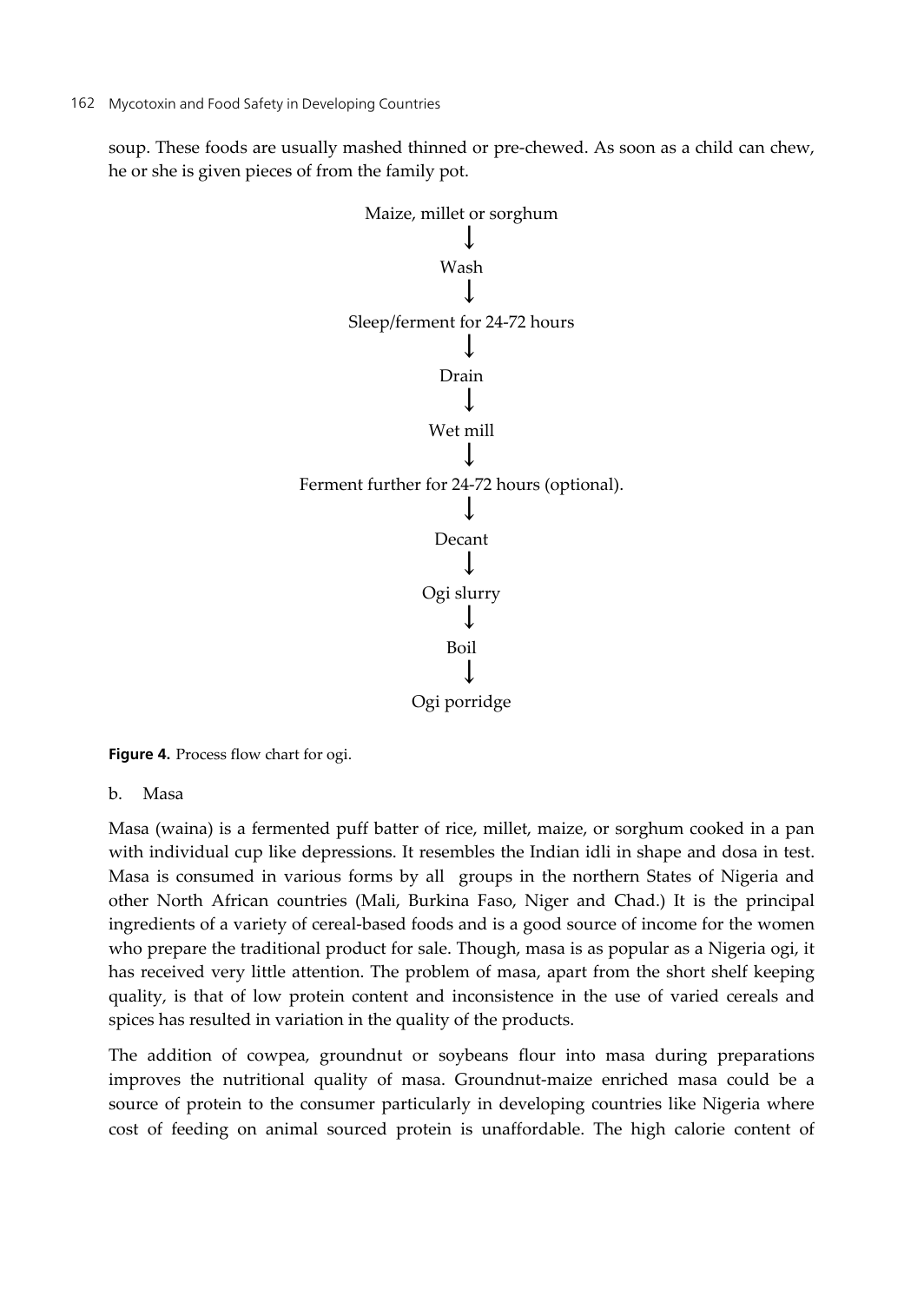soup. These foods are usually mashed thinned or pre-chewed. As soon as a child can chew, he or she is given pieces of from the family pot.



**Figure 4.** Process flow chart for ogi.

### b. Masa

Masa (waina) is a fermented puff batter of rice, millet, maize, or sorghum cooked in a pan with individual cup like depressions. It resembles the Indian idli in shape and dosa in test. Masa is consumed in various forms by all groups in the northern States of Nigeria and other North African countries (Mali, Burkina Faso, Niger and Chad.) It is the principal ingredients of a variety of cereal-based foods and is a good source of income for the women who prepare the traditional product for sale. Though, masa is as popular as a Nigeria ogi, it has received very little attention. The problem of masa, apart from the short shelf keeping quality, is that of low protein content and inconsistence in the use of varied cereals and spices has resulted in variation in the quality of the products.

The addition of cowpea, groundnut or soybeans flour into masa during preparations improves the nutritional quality of masa. Groundnut-maize enriched masa could be a source of protein to the consumer particularly in developing countries like Nigeria where cost of feeding on animal sourced protein is unaffordable. The high calorie content of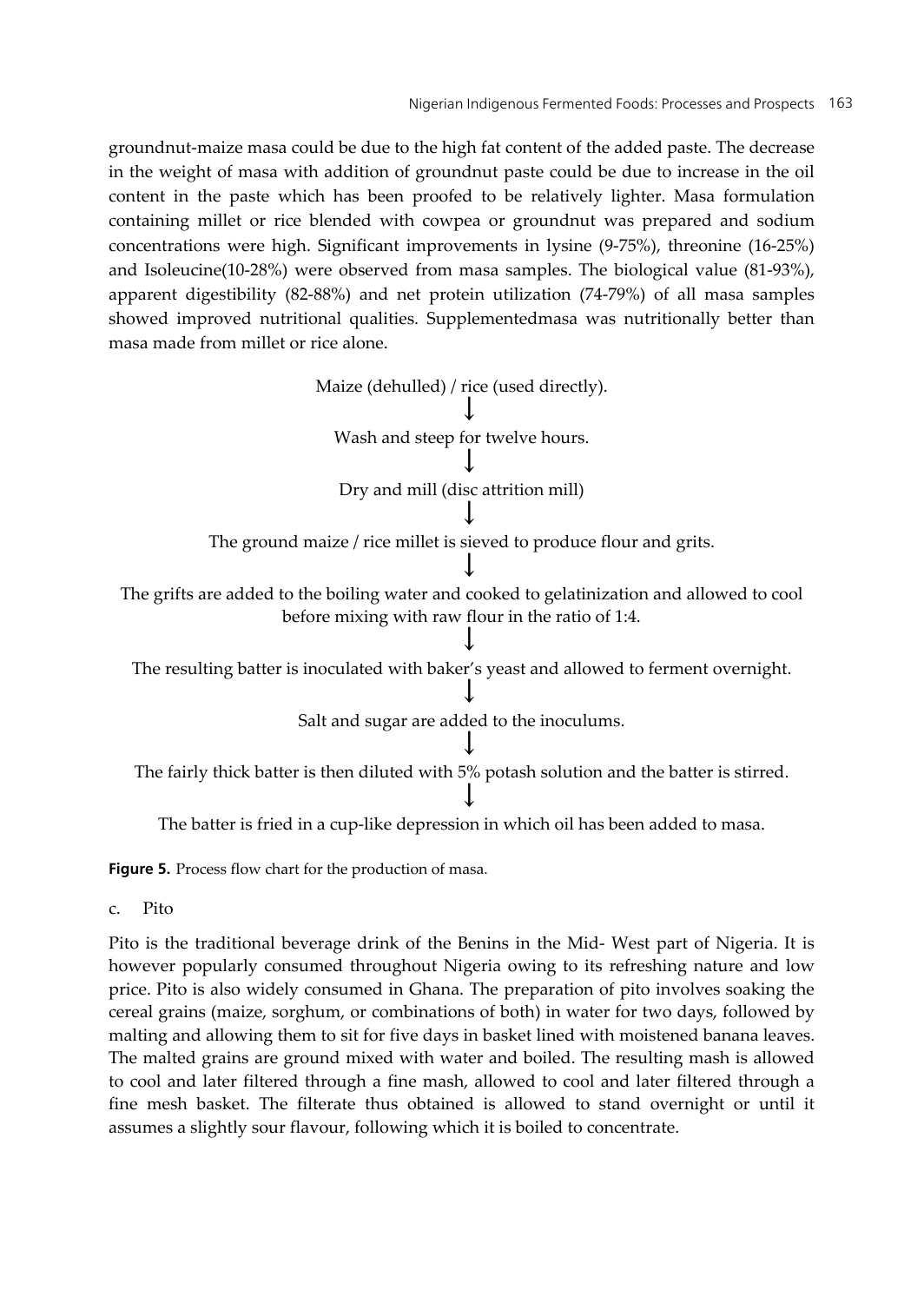groundnut-maize masa could be due to the high fat content of the added paste. The decrease in the weight of masa with addition of groundnut paste could be due to increase in the oil content in the paste which has been proofed to be relatively lighter. Masa formulation containing millet or rice blended with cowpea or groundnut was prepared and sodium concentrations were high. Significant improvements in lysine (9-75%), threonine (16-25%) and Isoleucine(10-28%) were observed from masa samples. The biological value (81-93%), apparent digestibility (82-88%) and net protein utilization (74-79%) of all masa samples showed improved nutritional qualities. Supplementedmasa was nutritionally better than masa made from millet or rice alone.



**Figure 5.** Process flow chart for the production of masa.

c. Pito

Pito is the traditional beverage drink of the Benins in the Mid- West part of Nigeria. It is however popularly consumed throughout Nigeria owing to its refreshing nature and low price. Pito is also widely consumed in Ghana. The preparation of pito involves soaking the cereal grains (maize, sorghum, or combinations of both) in water for two days, followed by malting and allowing them to sit for five days in basket lined with moistened banana leaves. The malted grains are ground mixed with water and boiled. The resulting mash is allowed to cool and later filtered through a fine mash, allowed to cool and later filtered through a fine mesh basket. The filterate thus obtained is allowed to stand overnight or until it assumes a slightly sour flavour, following which it is boiled to concentrate.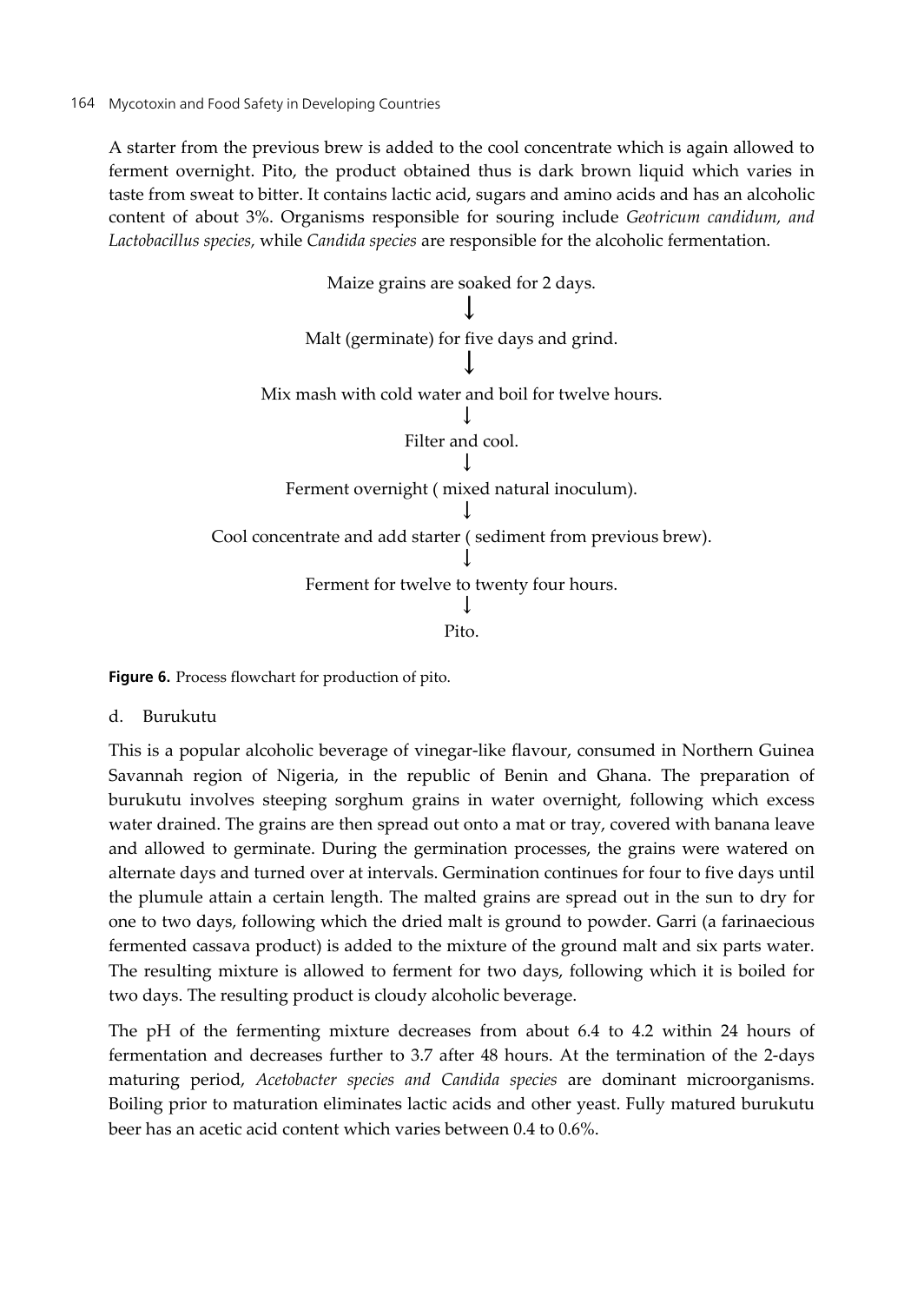A starter from the previous brew is added to the cool concentrate which is again allowed to ferment overnight. Pito, the product obtained thus is dark brown liquid which varies in taste from sweat to bitter. It contains lactic acid, sugars and amino acids and has an alcoholic content of about 3%. Organisms responsible for souring include *Geotricum candidum, and Lactobacillus species,* while *Candida species* are responsible for the alcoholic fermentation.



**Figure 6.** Process flowchart for production of pito.

d. Burukutu

This is a popular alcoholic beverage of vinegar-like flavour, consumed in Northern Guinea Savannah region of Nigeria, in the republic of Benin and Ghana. The preparation of burukutu involves steeping sorghum grains in water overnight, following which excess water drained. The grains are then spread out onto a mat or tray, covered with banana leave and allowed to germinate. During the germination processes, the grains were watered on alternate days and turned over at intervals. Germination continues for four to five days until the plumule attain a certain length. The malted grains are spread out in the sun to dry for one to two days, following which the dried malt is ground to powder. Garri (a farinaecious fermented cassava product) is added to the mixture of the ground malt and six parts water. The resulting mixture is allowed to ferment for two days, following which it is boiled for two days. The resulting product is cloudy alcoholic beverage.

The pH of the fermenting mixture decreases from about 6.4 to 4.2 within 24 hours of fermentation and decreases further to 3.7 after 48 hours. At the termination of the 2-days maturing period, *Acetobacter species and Candida species* are dominant microorganisms. Boiling prior to maturation eliminates lactic acids and other yeast. Fully matured burukutu beer has an acetic acid content which varies between 0.4 to 0.6%.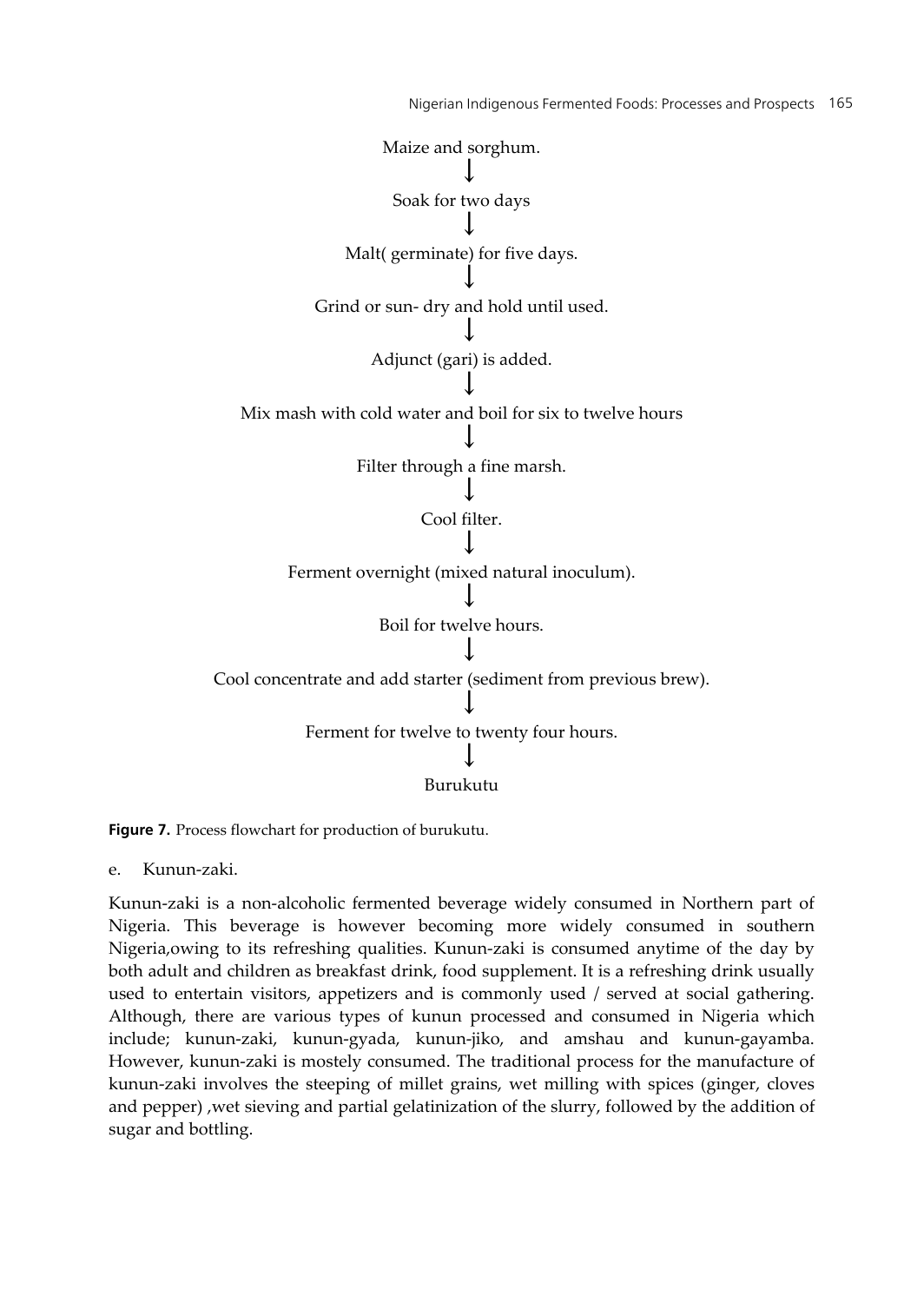

**Figure 7.** Process flowchart for production of burukutu.

e. Kunun-zaki.

Kunun-zaki is a non-alcoholic fermented beverage widely consumed in Northern part of Nigeria. This beverage is however becoming more widely consumed in southern Nigeria,owing to its refreshing qualities. Kunun-zaki is consumed anytime of the day by both adult and children as breakfast drink, food supplement. It is a refreshing drink usually used to entertain visitors, appetizers and is commonly used / served at social gathering. Although, there are various types of kunun processed and consumed in Nigeria which include; kunun-zaki, kunun-gyada, kunun-jiko, and amshau and kunun-gayamba. However, kunun-zaki is mostely consumed. The traditional process for the manufacture of kunun-zaki involves the steeping of millet grains, wet milling with spices (ginger, cloves and pepper) ,wet sieving and partial gelatinization of the slurry, followed by the addition of sugar and bottling.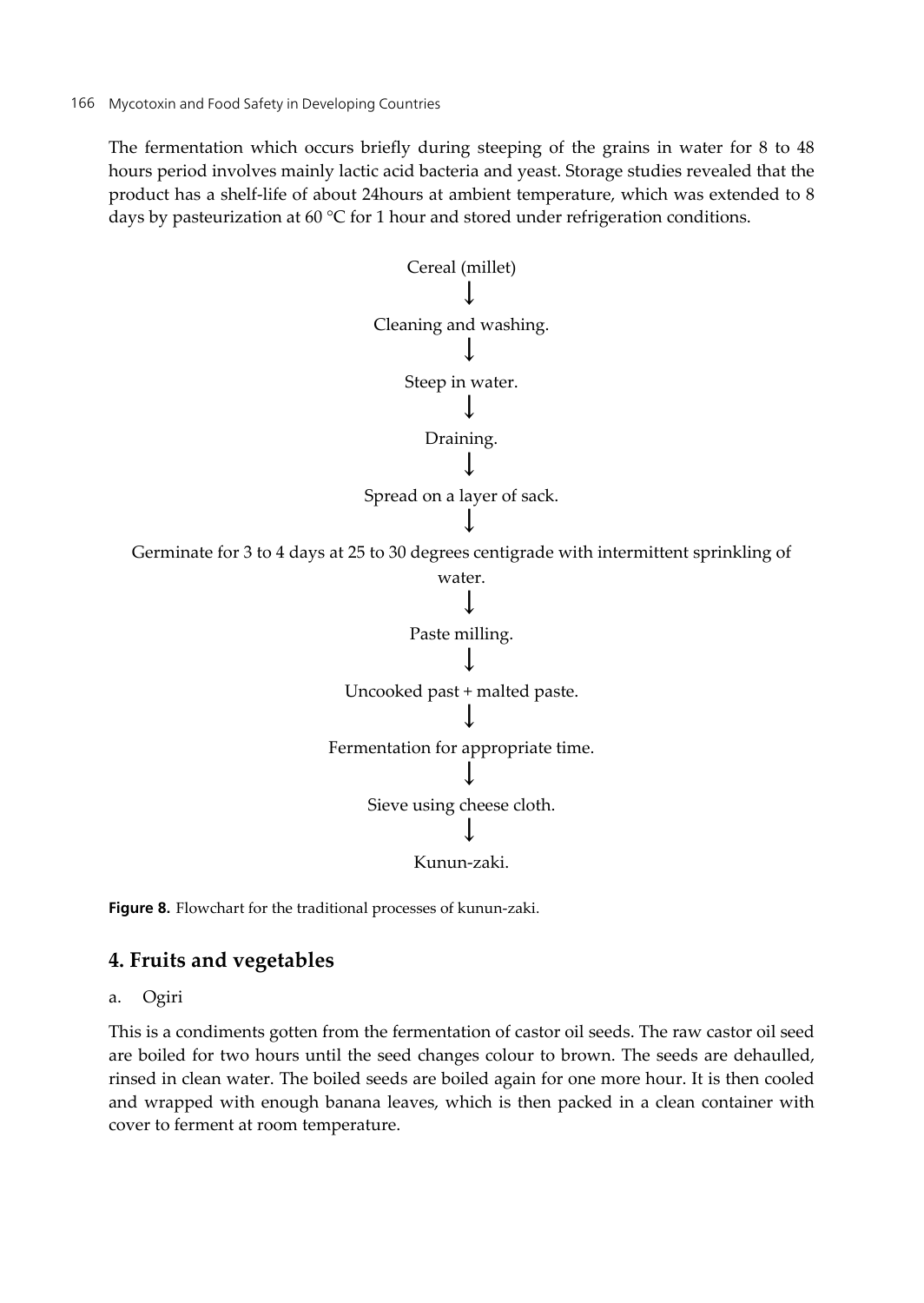The fermentation which occurs briefly during steeping of the grains in water for 8 to 48 hours period involves mainly lactic acid bacteria and yeast. Storage studies revealed that the product has a shelf-life of about 24hours at ambient temperature, which was extended to 8 days by pasteurization at 60 °C for 1 hour and stored under refrigeration conditions.



**Figure 8.** Flowchart for the traditional processes of kunun-zaki.

## **4. Fruits and vegetables**

a. Ogiri

This is a condiments gotten from the fermentation of castor oil seeds. The raw castor oil seed are boiled for two hours until the seed changes colour to brown. The seeds are dehaulled, rinsed in clean water. The boiled seeds are boiled again for one more hour. It is then cooled and wrapped with enough banana leaves, which is then packed in a clean container with cover to ferment at room temperature.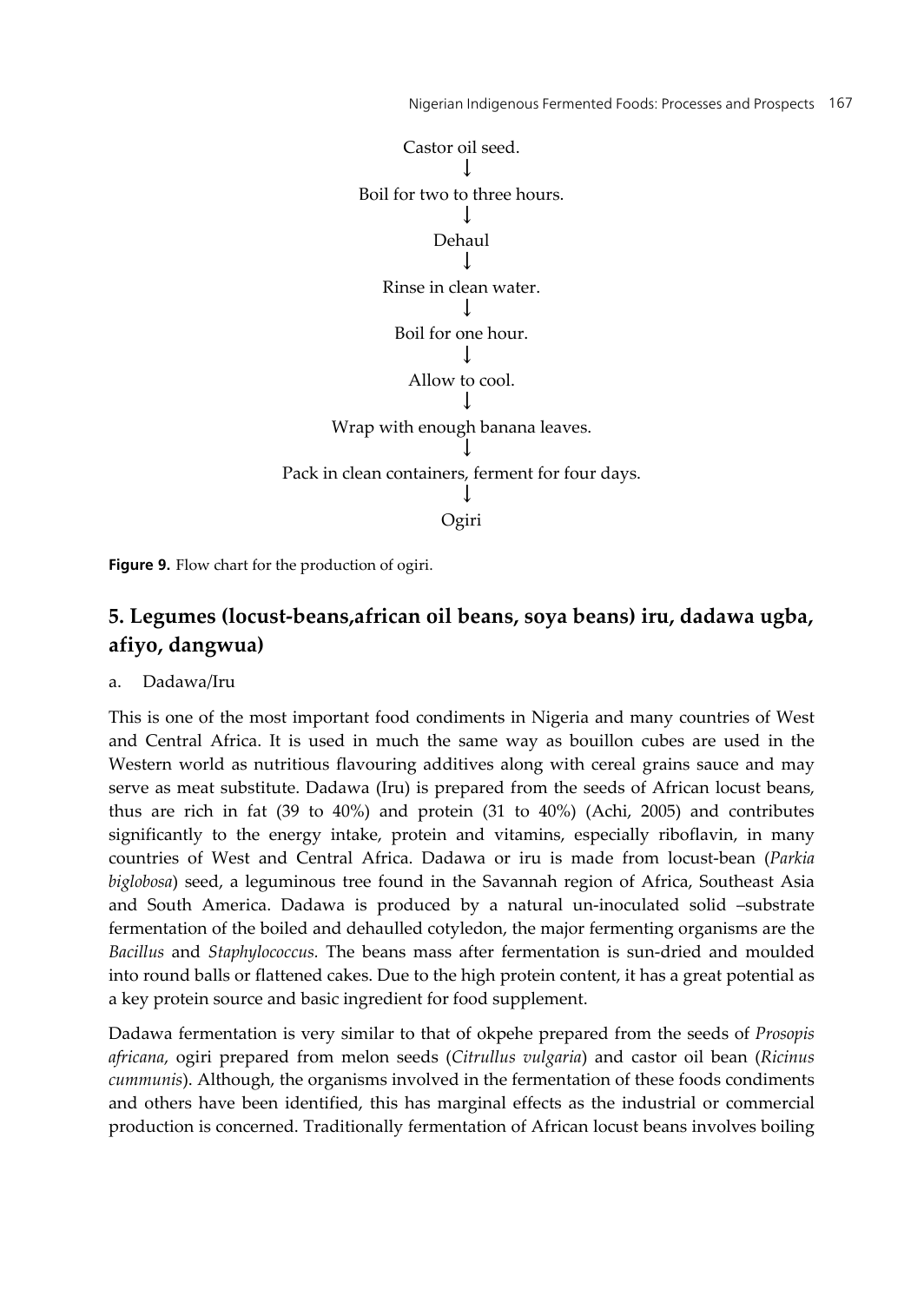



# **5. Legumes (locust-beans,african oil beans, soya beans) iru, dadawa ugba, afiyo, dangwua)**

#### a. Dadawa/Iru

This is one of the most important food condiments in Nigeria and many countries of West and Central Africa. It is used in much the same way as bouillon cubes are used in the Western world as nutritious flavouring additives along with cereal grains sauce and may serve as meat substitute. Dadawa (Iru) is prepared from the seeds of African locust beans, thus are rich in fat (39 to 40%) and protein (31 to 40%) (Achi, 2005) and contributes significantly to the energy intake, protein and vitamins, especially riboflavin, in many countries of West and Central Africa. Dadawa or iru is made from locust-bean (*Parkia biglobosa*) seed, a leguminous tree found in the Savannah region of Africa, Southeast Asia and South America. Dadawa is produced by a natural un-inoculated solid –substrate fermentation of the boiled and dehaulled cotyledon, the major fermenting organisms are the *Bacillus* and *Staphylococcus.* The beans mass after fermentation is sun-dried and moulded into round balls or flattened cakes. Due to the high protein content, it has a great potential as a key protein source and basic ingredient for food supplement.

Dadawa fermentation is very similar to that of okpehe prepared from the seeds of *Prosopis africana*, ogiri prepared from melon seeds (*Citrullus vulgaria*) and castor oil bean (*Ricinus cummunis*). Although, the organisms involved in the fermentation of these foods condiments and others have been identified, this has marginal effects as the industrial or commercial production is concerned. Traditionally fermentation of African locust beans involves boiling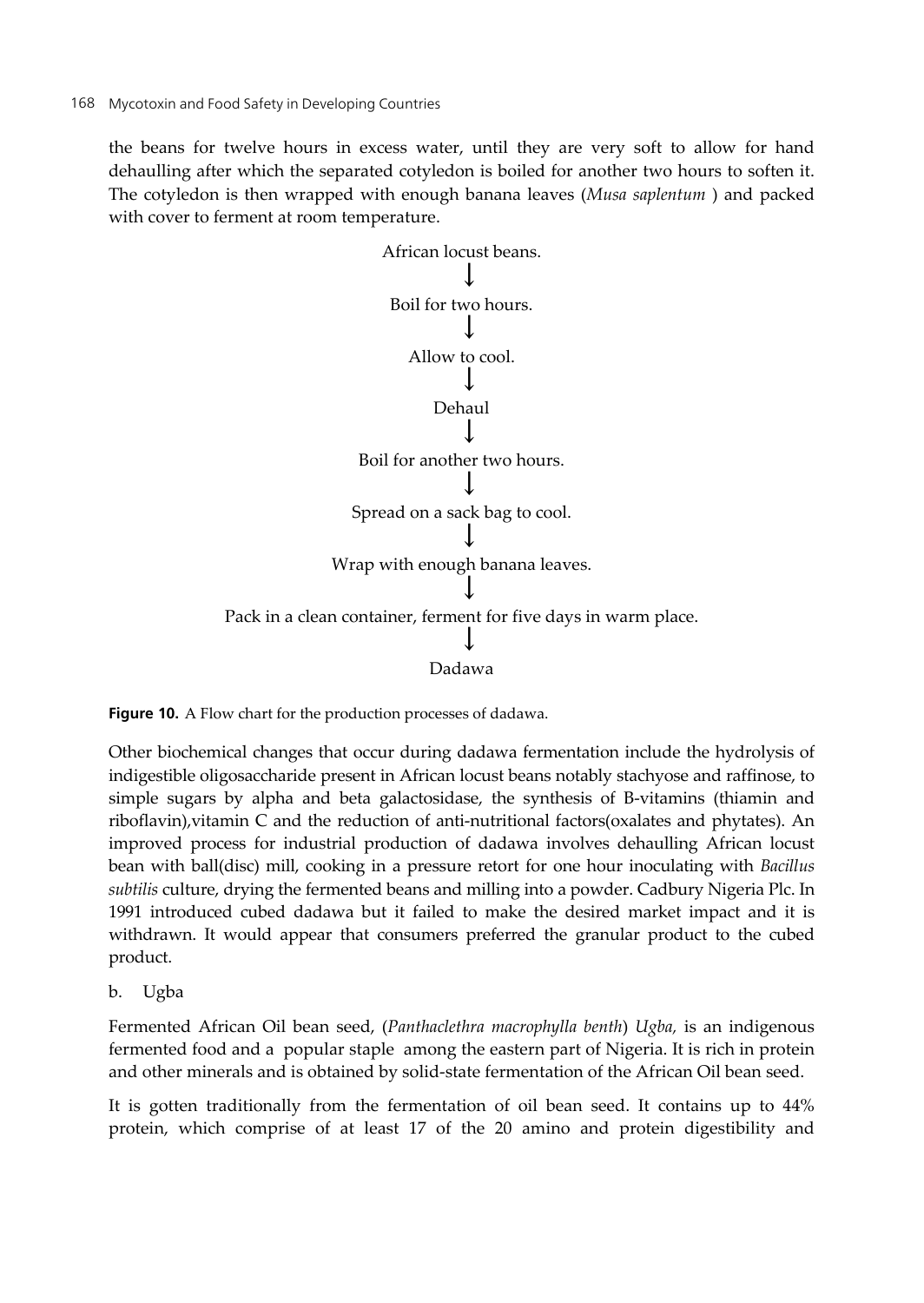the beans for twelve hours in excess water, until they are very soft to allow for hand dehaulling after which the separated cotyledon is boiled for another two hours to soften it. The cotyledon is then wrapped with enough banana leaves (*Musa saplentum* ) and packed with cover to ferment at room temperature.



**Figure 10.** A Flow chart for the production processes of dadawa.

Other biochemical changes that occur during dadawa fermentation include the hydrolysis of indigestible oligosaccharide present in African locust beans notably stachyose and raffinose, to simple sugars by alpha and beta galactosidase, the synthesis of B-vitamins (thiamin and riboflavin),vitamin C and the reduction of anti-nutritional factors(oxalates and phytates). An improved process for industrial production of dadawa involves dehaulling African locust bean with ball(disc) mill, cooking in a pressure retort for one hour inoculating with *Bacillus subtilis* culture, drying the fermented beans and milling into a powder. Cadbury Nigeria Plc. In 1991 introduced cubed dadawa but it failed to make the desired market impact and it is withdrawn. It would appear that consumers preferred the granular product to the cubed product.

b. Ugba

Fermented African Oil bean seed, (*Panthaclethra macrophylla benth*) *Ugba,* is an indigenous fermented food and a popular staple among the eastern part of Nigeria. It is rich in protein and other minerals and is obtained by solid-state fermentation of the African Oil bean seed.

It is gotten traditionally from the fermentation of oil bean seed. It contains up to 44% protein, which comprise of at least 17 of the 20 amino and protein digestibility and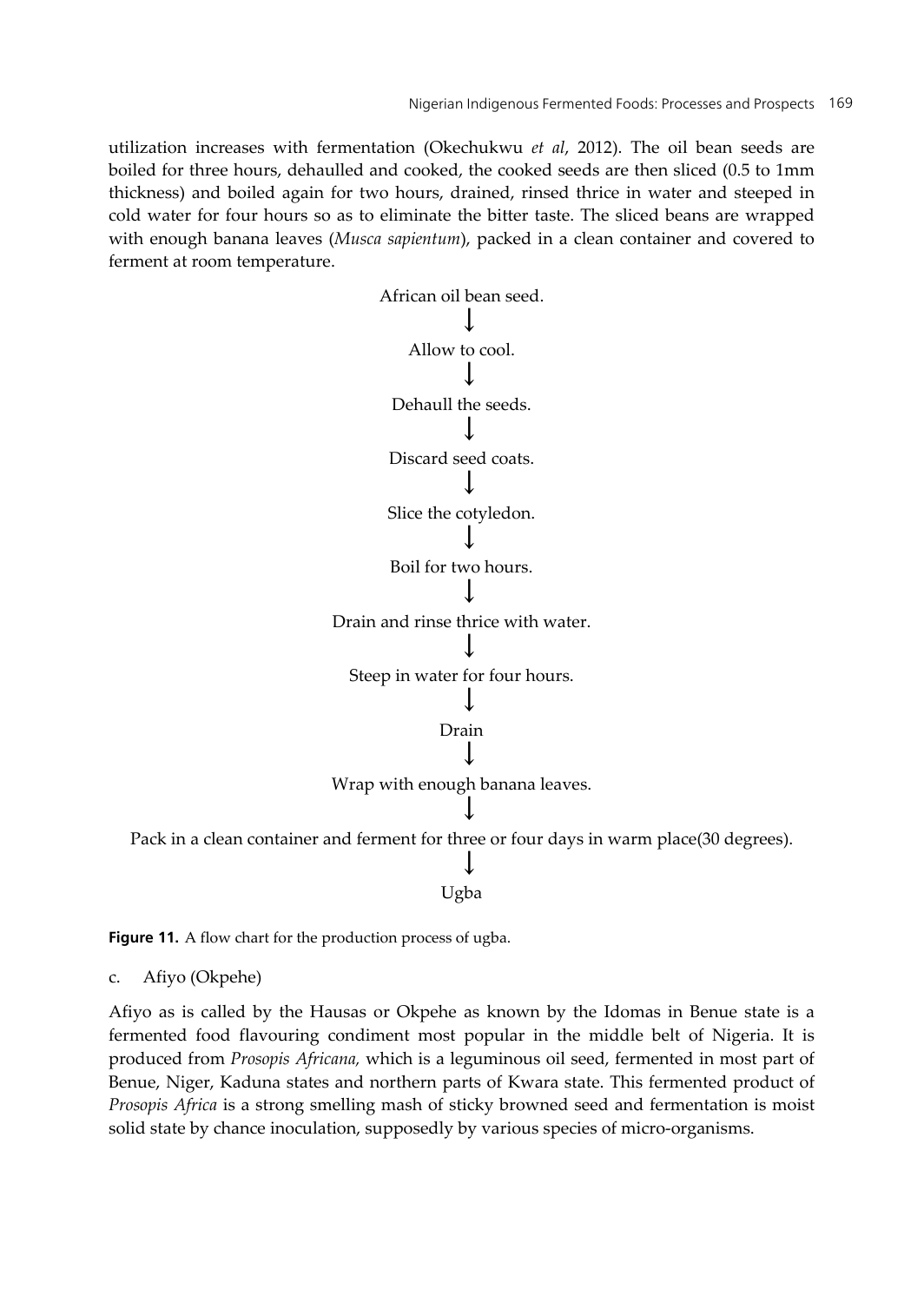utilization increases with fermentation (Okechukwu *et al*, 2012). The oil bean seeds are boiled for three hours, dehaulled and cooked, the cooked seeds are then sliced (0.5 to 1mm thickness) and boiled again for two hours, drained, rinsed thrice in water and steeped in cold water for four hours so as to eliminate the bitter taste. The sliced beans are wrapped with enough banana leaves (*Musca sapientum*), packed in a clean container and covered to ferment at room temperature.



Figure 11. A flow chart for the production process of ugba.

c. Afiyo (Okpehe)

Afiyo as is called by the Hausas or Okpehe as known by the Idomas in Benue state is a fermented food flavouring condiment most popular in the middle belt of Nigeria. It is produced from *Prosopis Africana,* which is a leguminous oil seed, fermented in most part of Benue, Niger, Kaduna states and northern parts of Kwara state. This fermented product of *Prosopis Africa* is a strong smelling mash of sticky browned seed and fermentation is moist solid state by chance inoculation, supposedly by various species of micro-organisms.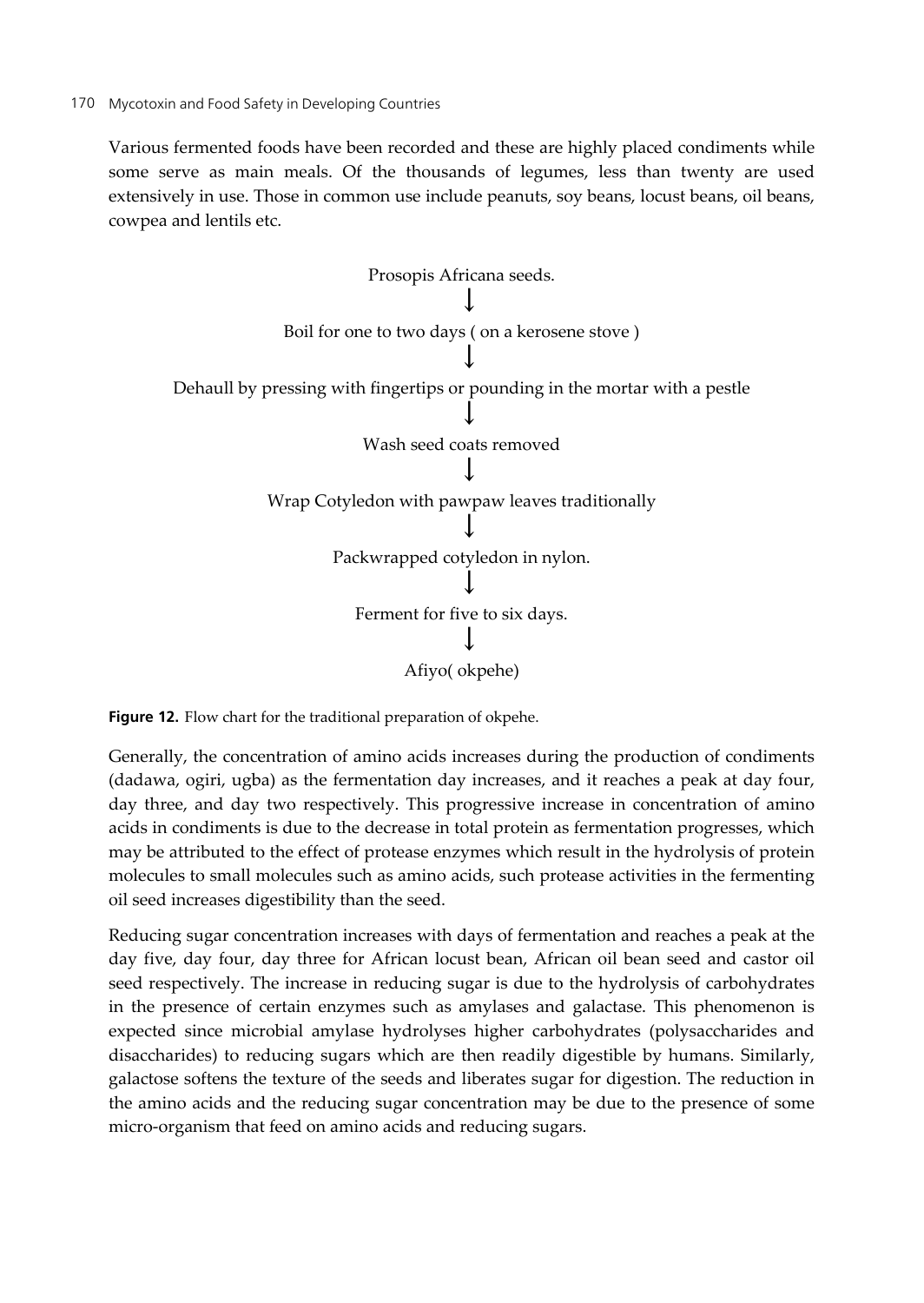Various fermented foods have been recorded and these are highly placed condiments while some serve as main meals. Of the thousands of legumes, less than twenty are used extensively in use. Those in common use include peanuts, soy beans, locust beans, oil beans, cowpea and lentils etc.



**Figure 12.** Flow chart for the traditional preparation of okpehe.

Generally, the concentration of amino acids increases during the production of condiments (dadawa, ogiri, ugba) as the fermentation day increases, and it reaches a peak at day four, day three, and day two respectively. This progressive increase in concentration of amino acids in condiments is due to the decrease in total protein as fermentation progresses, which may be attributed to the effect of protease enzymes which result in the hydrolysis of protein molecules to small molecules such as amino acids, such protease activities in the fermenting oil seed increases digestibility than the seed.

Reducing sugar concentration increases with days of fermentation and reaches a peak at the day five, day four, day three for African locust bean, African oil bean seed and castor oil seed respectively. The increase in reducing sugar is due to the hydrolysis of carbohydrates in the presence of certain enzymes such as amylases and galactase. This phenomenon is expected since microbial amylase hydrolyses higher carbohydrates (polysaccharides and disaccharides) to reducing sugars which are then readily digestible by humans. Similarly, galactose softens the texture of the seeds and liberates sugar for digestion. The reduction in the amino acids and the reducing sugar concentration may be due to the presence of some micro-organism that feed on amino acids and reducing sugars.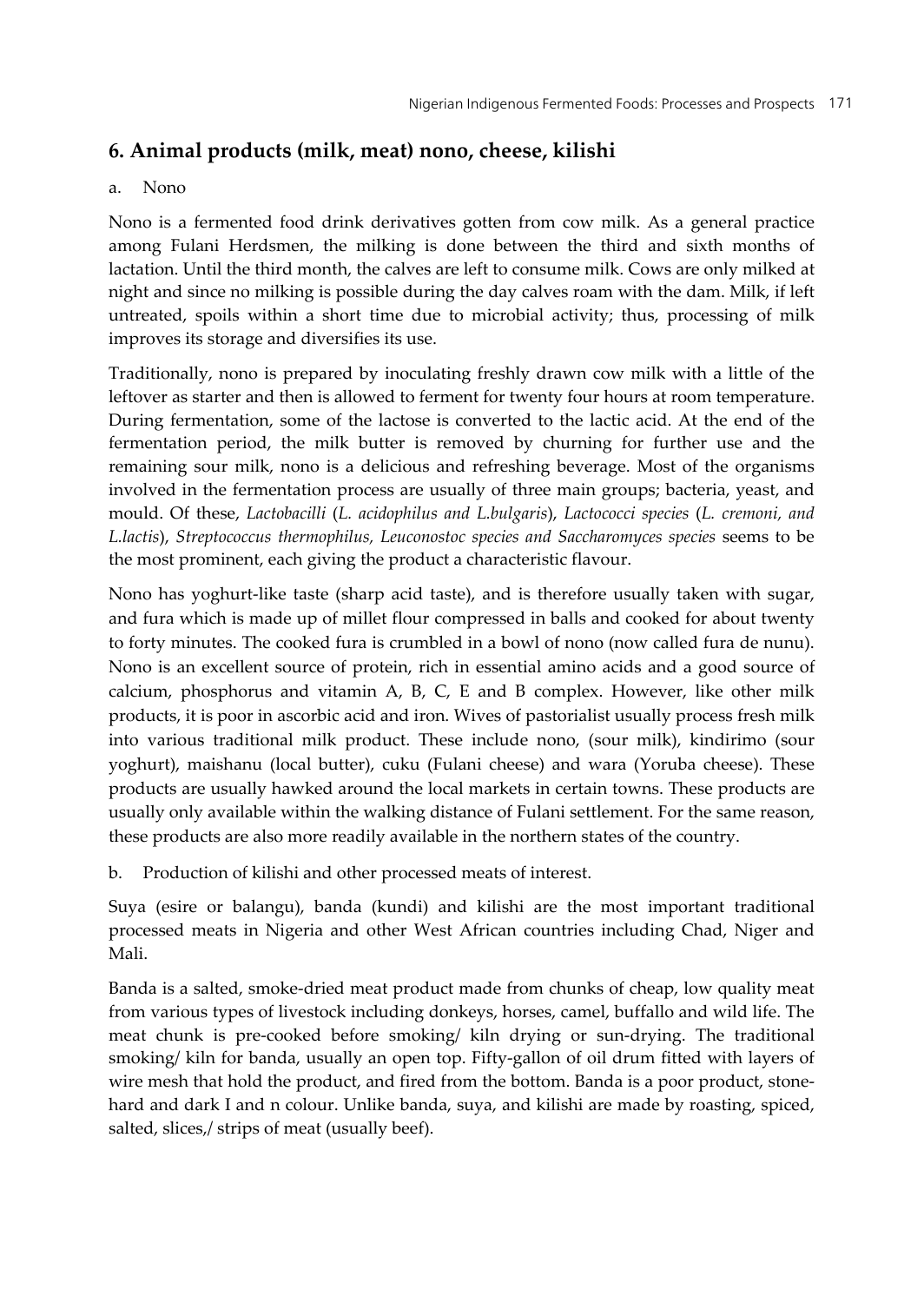# **6. Animal products (milk, meat) nono, cheese, kilishi**

### a. Nono

Nono is a fermented food drink derivatives gotten from cow milk. As a general practice among Fulani Herdsmen, the milking is done between the third and sixth months of lactation. Until the third month, the calves are left to consume milk. Cows are only milked at night and since no milking is possible during the day calves roam with the dam. Milk, if left untreated, spoils within a short time due to microbial activity; thus, processing of milk improves its storage and diversifies its use.

Traditionally, nono is prepared by inoculating freshly drawn cow milk with a little of the leftover as starter and then is allowed to ferment for twenty four hours at room temperature. During fermentation, some of the lactose is converted to the lactic acid. At the end of the fermentation period, the milk butter is removed by churning for further use and the remaining sour milk, nono is a delicious and refreshing beverage. Most of the organisms involved in the fermentation process are usually of three main groups; bacteria, yeast, and mould. Of these, *Lactobacilli* (*L. acidophilus and L.bulgaris*), *Lactococci species* (*L. cremoni, and L.lactis*), *Streptococcus thermophilus, Leuconostoc species and Saccharomyces species* seems to be the most prominent, each giving the product a characteristic flavour.

Nono has yoghurt-like taste (sharp acid taste), and is therefore usually taken with sugar, and fura which is made up of millet flour compressed in balls and cooked for about twenty to forty minutes. The cooked fura is crumbled in a bowl of nono (now called fura de nunu). Nono is an excellent source of protein, rich in essential amino acids and a good source of calcium, phosphorus and vitamin A, B, C, E and B complex. However, like other milk products, it is poor in ascorbic acid and iron. Wives of pastorialist usually process fresh milk into various traditional milk product. These include nono, (sour milk), kindirimo (sour yoghurt), maishanu (local butter), cuku (Fulani cheese) and wara (Yoruba cheese). These products are usually hawked around the local markets in certain towns. These products are usually only available within the walking distance of Fulani settlement. For the same reason, these products are also more readily available in the northern states of the country.

b. Production of kilishi and other processed meats of interest.

Suya (esire or balangu), banda (kundi) and kilishi are the most important traditional processed meats in Nigeria and other West African countries including Chad, Niger and Mali.

Banda is a salted, smoke-dried meat product made from chunks of cheap, low quality meat from various types of livestock including donkeys, horses, camel, buffallo and wild life. The meat chunk is pre-cooked before smoking/ kiln drying or sun-drying. The traditional smoking/ kiln for banda, usually an open top. Fifty-gallon of oil drum fitted with layers of wire mesh that hold the product, and fired from the bottom. Banda is a poor product, stonehard and dark I and n colour. Unlike banda, suya, and kilishi are made by roasting, spiced, salted, slices,/ strips of meat (usually beef).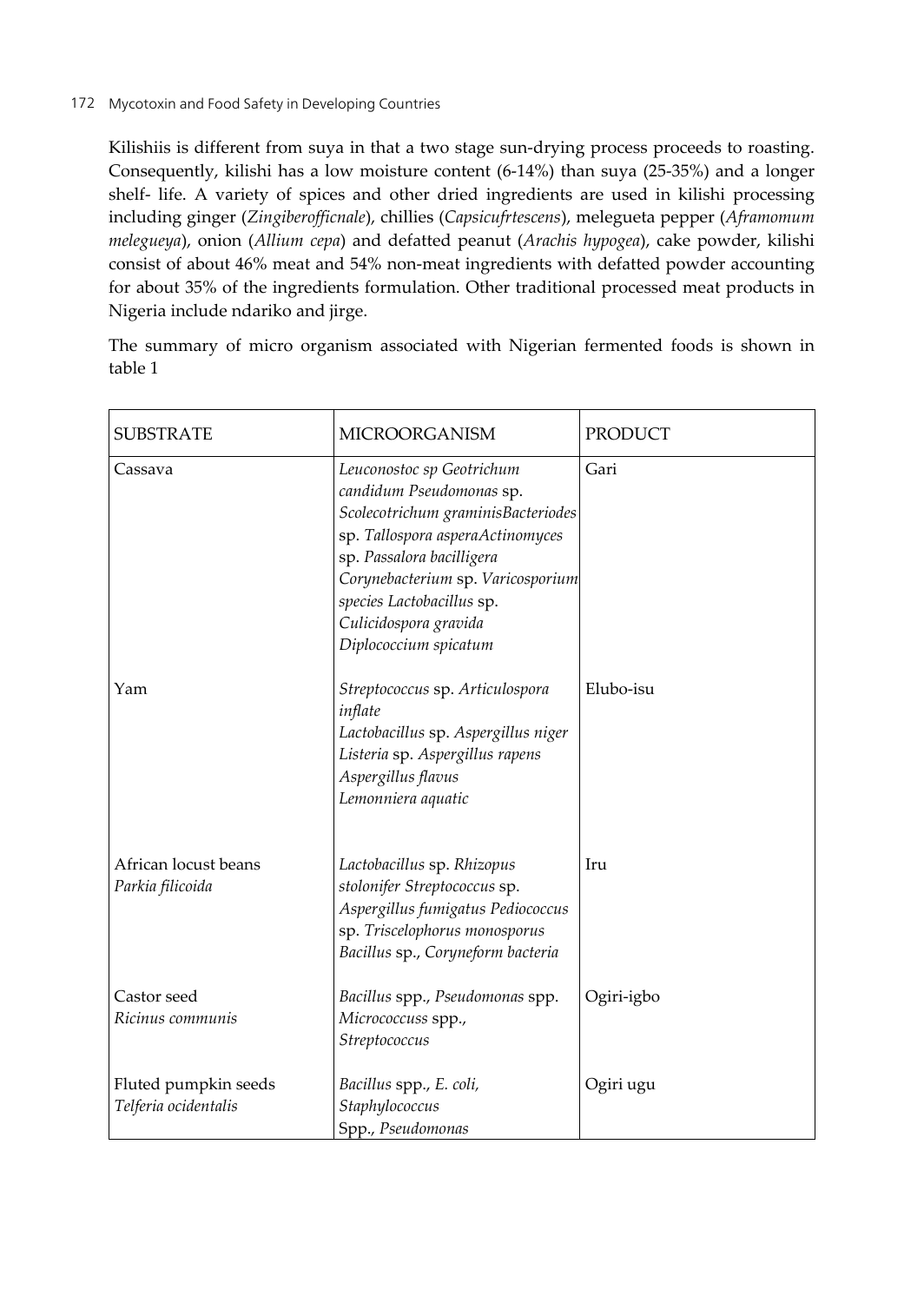Kilishiis is different from suya in that a two stage sun-drying process proceeds to roasting. Consequently, kilishi has a low moisture content (6-14%) than suya (25-35%) and a longer shelf- life. A variety of spices and other dried ingredients are used in kilishi processing including ginger (*Zingiberofficnale*), chillies (*Capsicufrtescens*), melegueta pepper (*Aframomum melegueya*), onion (*Allium cepa*) and defatted peanut (*Arachis hypogea*), cake powder, kilishi consist of about 46% meat and 54% non-meat ingredients with defatted powder accounting for about 35% of the ingredients formulation. Other traditional processed meat products in Nigeria include ndariko and jirge.

The summary of micro organism associated with Nigerian fermented foods is shown in table 1

| <b>SUBSTRATE</b>                             | <b>MICROORGANISM</b>                                                                                                                                                                                                                                                             | <b>PRODUCT</b> |
|----------------------------------------------|----------------------------------------------------------------------------------------------------------------------------------------------------------------------------------------------------------------------------------------------------------------------------------|----------------|
| Cassava                                      | Leuconostoc sp Geotrichum<br>candidum Pseudomonas sp.<br>Scolecotrichum graminisBacteriodes<br>sp. Tallospora asperaActinomyces<br>sp. Passalora bacilligera<br>Corynebacterium sp. Varicosporium<br>species Lactobacillus sp.<br>Culicidospora gravida<br>Diplococcium spicatum | Gari           |
| Yam                                          | Streptococcus sp. Articulospora<br>inflate<br>Lactobacillus sp. Aspergillus niger<br>Listeria sp. Aspergillus rapens<br>Aspergillus flavus<br>Lemonniera aquatic                                                                                                                 | Elubo-isu      |
| African locust beans<br>Parkia filicoida     | Lactobacillus sp. Rhizopus<br>stolonifer Streptococcus sp.<br>Aspergillus fumigatus Pediococcus<br>sp. Triscelophorus monosporus<br>Bacillus sp., Coryneform bacteria                                                                                                            | Iru            |
| Castor seed<br>Ricinus communis              | Bacillus spp., Pseudomonas spp.<br>Micrococcuss spp.,<br>Streptococcus                                                                                                                                                                                                           | Ogiri-igbo     |
| Fluted pumpkin seeds<br>Telferia ocidentalis | Bacillus spp., E. coli,<br>Staphylococcus<br>Spp., Pseudomonas                                                                                                                                                                                                                   | Ogiri ugu      |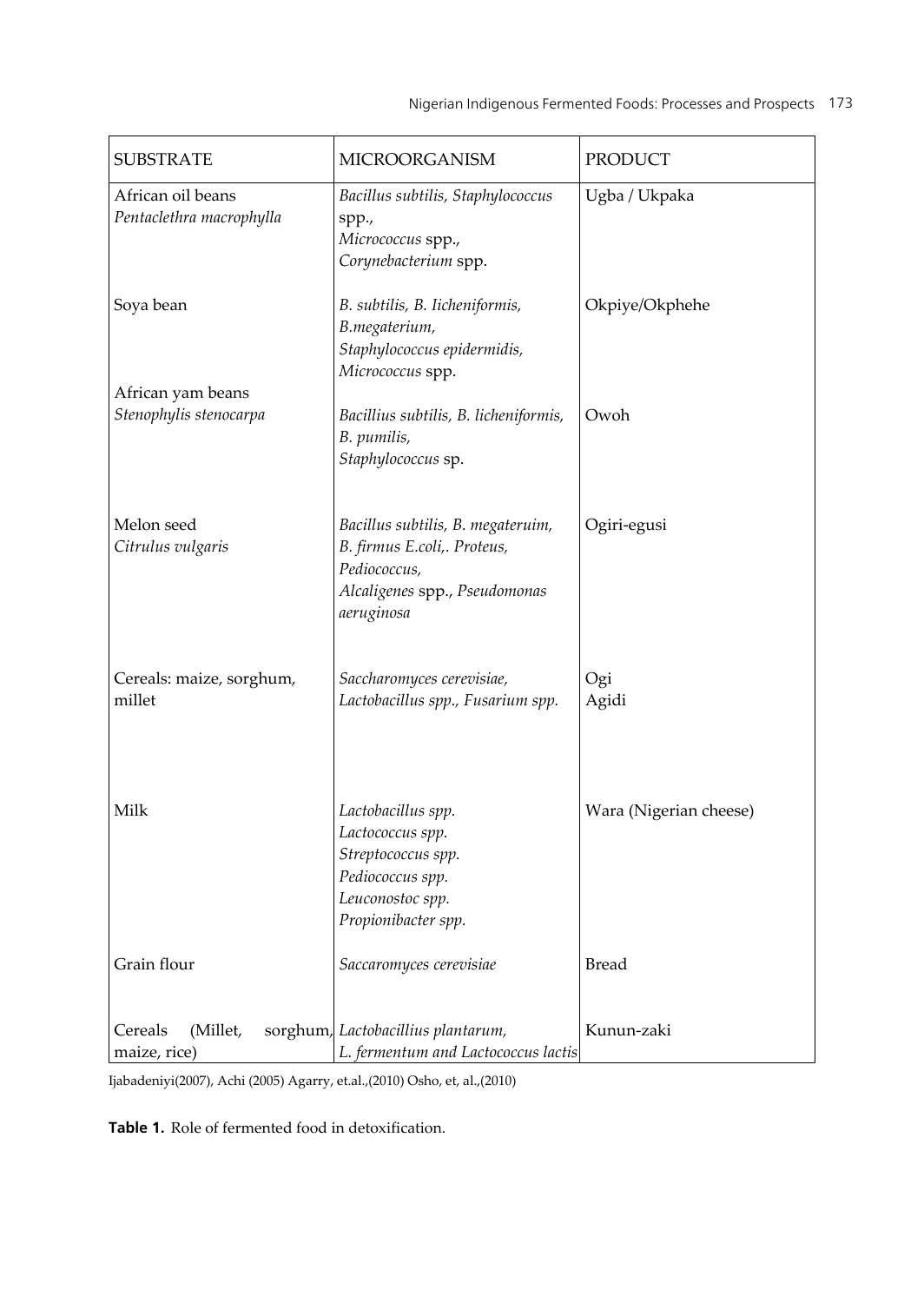| <b>SUBSTRATE</b>                              | <b>MICROORGANISM</b>                                                                                                            | <b>PRODUCT</b>         |
|-----------------------------------------------|---------------------------------------------------------------------------------------------------------------------------------|------------------------|
| African oil beans<br>Pentaclethra macrophylla | Bacillus subtilis, Staphylococcus<br>spp.,<br>Micrococcus spp.,<br>Corynebacterium spp.                                         | Ugba / Ukpaka          |
| Soya bean                                     | B. subtilis, B. Iicheniformis,<br>B.megaterium,<br>Staphylococcus epidermidis,<br>Micrococcus spp.                              | Okpiye/Okphehe         |
| African yam beans                             |                                                                                                                                 |                        |
| Stenophylis stenocarpa                        | Bacillius subtilis, B. licheniformis,<br>B. pumilis,<br>Staphylococcus sp.                                                      | Owoh                   |
| Melon seed<br>Citrulus vulgaris               | Bacillus subtilis, B. megateruim,<br>B. firmus E.coli,. Proteus,<br>Pediococcus,<br>Alcaligenes spp., Pseudomonas<br>aeruginosa | Ogiri-egusi            |
| Cereals: maize, sorghum,<br>millet            | Saccharomyces cerevisiae,<br>Lactobacillus spp., Fusarium spp.                                                                  | Ogi<br>Agidi           |
| Milk                                          | Lactobacillus spp.<br>Lactococcus spp.<br>Streptococcus spp.<br>Pediococcus spp.<br>Leuconostoc spp.<br>Propionibacter spp.     | Wara (Nigerian cheese) |
| Grain flour                                   | Saccaromyces cerevisiae                                                                                                         | <b>Bread</b>           |
| Cereals<br>(Millet,<br>maize, rice)           | sorghum, Lactobacillius plantarum,<br>L. fermentum and Lactococcus lactis                                                       | Kunun-zaki             |

Ijabadeniyi(2007), Achi (2005) Agarry, et.al.,(2010) Osho, et, al.,(2010)

**Table 1.** Role of fermented food in detoxification.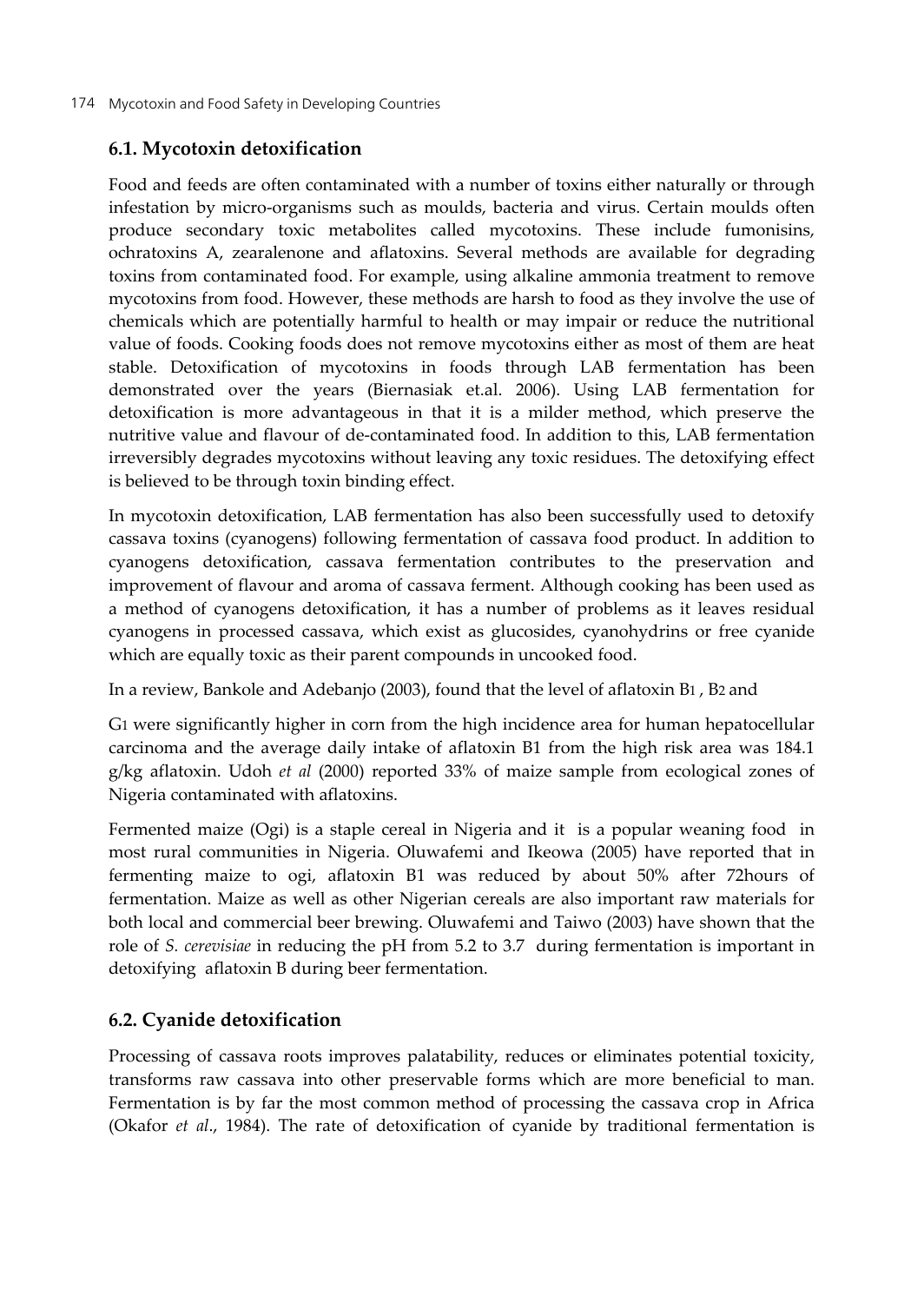### **6.1. Mycotoxin detoxification**

Food and feeds are often contaminated with a number of toxins either naturally or through infestation by micro-organisms such as moulds, bacteria and virus. Certain moulds often produce secondary toxic metabolites called mycotoxins. These include fumonisins, ochratoxins A, zearalenone and aflatoxins. Several methods are available for degrading toxins from contaminated food. For example, using alkaline ammonia treatment to remove mycotoxins from food. However, these methods are harsh to food as they involve the use of chemicals which are potentially harmful to health or may impair or reduce the nutritional value of foods. Cooking foods does not remove mycotoxins either as most of them are heat stable. Detoxification of mycotoxins in foods through LAB fermentation has been demonstrated over the years (Biernasiak et.al. 2006). Using LAB fermentation for detoxification is more advantageous in that it is a milder method, which preserve the nutritive value and flavour of de-contaminated food. In addition to this, LAB fermentation irreversibly degrades mycotoxins without leaving any toxic residues. The detoxifying effect is believed to be through toxin binding effect.

In mycotoxin detoxification, LAB fermentation has also been successfully used to detoxify cassava toxins (cyanogens) following fermentation of cassava food product. In addition to cyanogens detoxification, cassava fermentation contributes to the preservation and improvement of flavour and aroma of cassava ferment. Although cooking has been used as a method of cyanogens detoxification, it has a number of problems as it leaves residual cyanogens in processed cassava, which exist as glucosides, cyanohydrins or free cyanide which are equally toxic as their parent compounds in uncooked food.

In a review, Bankole and Adebanjo (2003), found that the level of aflatoxin B1 , B2 and

G1 were significantly higher in corn from the high incidence area for human hepatocellular carcinoma and the average daily intake of aflatoxin B1 from the high risk area was 184.1 g/kg aflatoxin. Udoh *et al* (2000) reported 33% of maize sample from ecological zones of Nigeria contaminated with aflatoxins.

Fermented maize (Ogi) is a staple cereal in Nigeria and it is a popular weaning food in most rural communities in Nigeria. Oluwafemi and Ikeowa (2005) have reported that in fermenting maize to ogi, aflatoxin B1 was reduced by about 50% after 72hours of fermentation. Maize as well as other Nigerian cereals are also important raw materials for both local and commercial beer brewing. Oluwafemi and Taiwo (2003) have shown that the role of *S. cerevisiae* in reducing the pH from 5.2 to 3.7 during fermentation is important in detoxifying aflatoxin B during beer fermentation.

## **6.2. Cyanide detoxification**

Processing of cassava roots improves palatability, reduces or eliminates potential toxicity, transforms raw cassava into other preservable forms which are more beneficial to man. Fermentation is by far the most common method of processing the cassava crop in Africa (Okafor *et al*., 1984). The rate of detoxification of cyanide by traditional fermentation is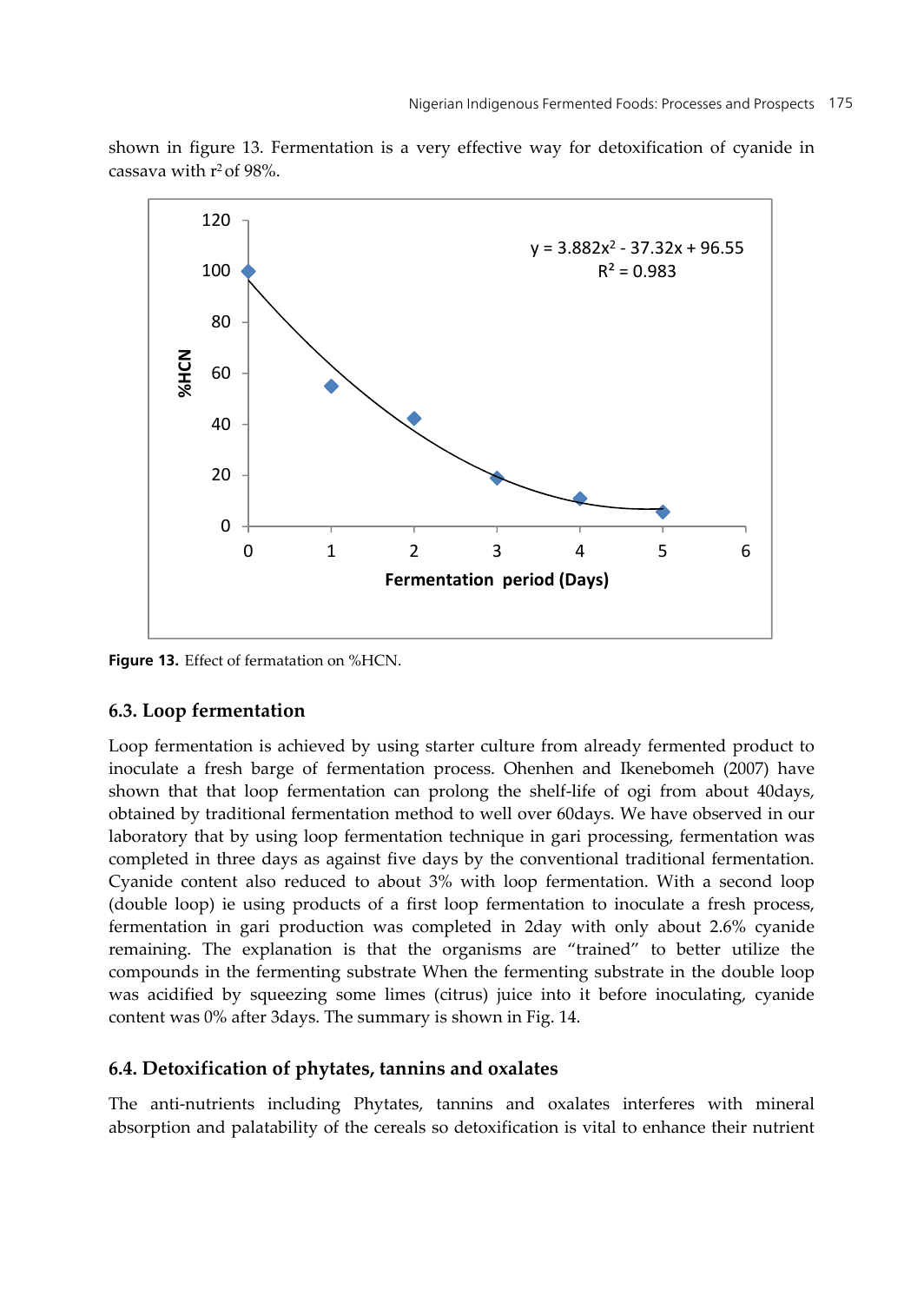shown in figure 13. Fermentation is a very effective way for detoxification of cyanide in cassava with r2 of 98%.



**Figure 13.** Effect of fermatation on %HCN.

### **6.3. Loop fermentation**

Loop fermentation is achieved by using starter culture from already fermented product to inoculate a fresh barge of fermentation process. Ohenhen and Ikenebomeh (2007) have shown that that loop fermentation can prolong the shelf-life of ogi from about 40days, obtained by traditional fermentation method to well over 60days. We have observed in our laboratory that by using loop fermentation technique in gari processing, fermentation was completed in three days as against five days by the conventional traditional fermentation. Cyanide content also reduced to about 3% with loop fermentation. With a second loop (double loop) ie using products of a first loop fermentation to inoculate a fresh process, fermentation in gari production was completed in 2day with only about 2.6% cyanide remaining. The explanation is that the organisms are "trained" to better utilize the compounds in the fermenting substrate When the fermenting substrate in the double loop was acidified by squeezing some limes (citrus) juice into it before inoculating, cyanide content was 0% after 3days. The summary is shown in Fig. 14.

### **6.4. Detoxification of phytates, tannins and oxalates**

The anti-nutrients including Phytates, tannins and oxalates interferes with mineral absorption and palatability of the cereals so detoxification is vital to enhance their nutrient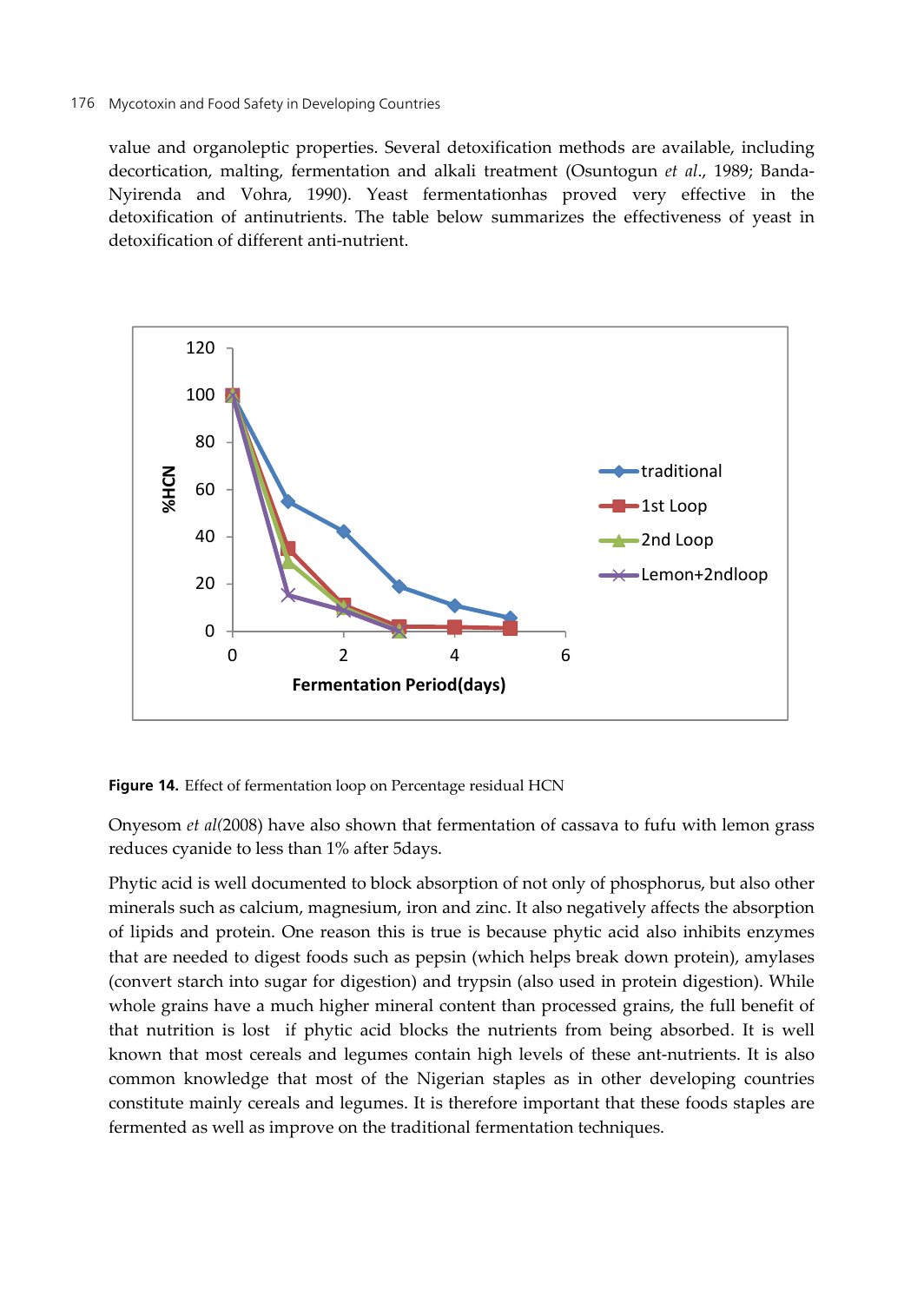value and organoleptic properties. Several detoxification methods are available, including decortication, malting, fermentation and alkali treatment (Osuntogun *et al*., 1989; Banda-Nyirenda and Vohra, 1990). Yeast fermentationhas proved very effective in the detoxification of antinutrients. The table below summarizes the effectiveness of yeast in detoxification of different anti-nutrient.



**Figure 14.** Effect of fermentation loop on Percentage residual HCN

Onyesom *et al(*2008) have also shown that fermentation of cassava to fufu with lemon grass reduces cyanide to less than 1% after 5days.

Phytic acid is well documented to block absorption of not only of phosphorus, but also other minerals such as calcium, magnesium, iron and zinc. It also negatively affects the absorption of lipids and protein. One reason this is true is because phytic acid also inhibits enzymes that are needed to digest foods such as pepsin (which helps break down protein), amylases (convert starch into sugar for digestion) and trypsin (also used in protein digestion). While whole grains have a much higher mineral content than processed grains, the full benefit of that nutrition is lost if phytic acid blocks the nutrients from being absorbed. It is well known that most cereals and legumes contain high levels of these ant-nutrients. It is also common knowledge that most of the Nigerian staples as in other developing countries constitute mainly cereals and legumes. It is therefore important that these foods staples are fermented as well as improve on the traditional fermentation techniques.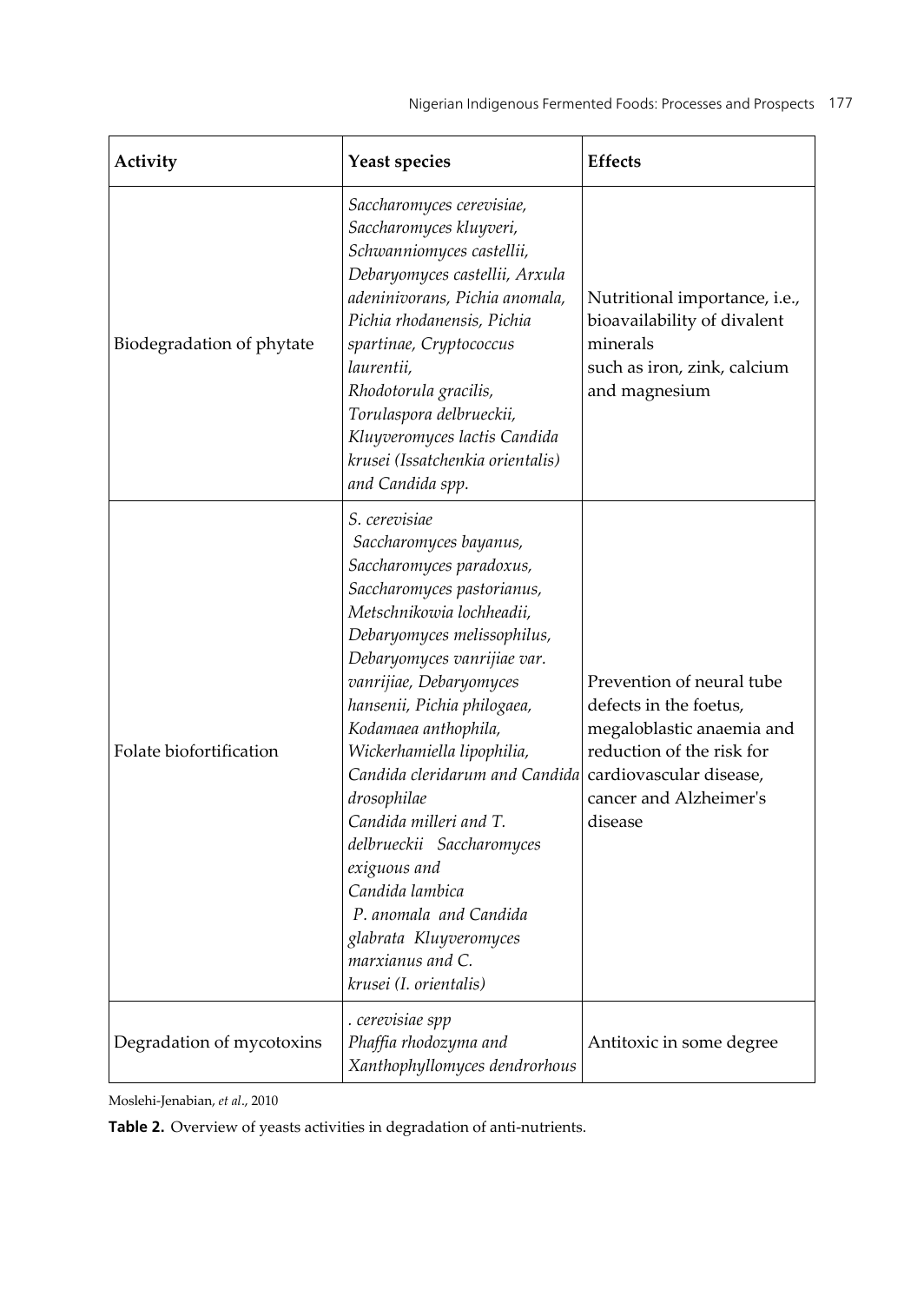| Activity                  | Yeast species                                                                                                                                                                                                                                                                                                                                                                                                                                                                                                                                             | <b>Effects</b>                                                                                                                                                                |
|---------------------------|-----------------------------------------------------------------------------------------------------------------------------------------------------------------------------------------------------------------------------------------------------------------------------------------------------------------------------------------------------------------------------------------------------------------------------------------------------------------------------------------------------------------------------------------------------------|-------------------------------------------------------------------------------------------------------------------------------------------------------------------------------|
| Biodegradation of phytate | Saccharomyces cerevisiae,<br>Saccharomyces kluyveri,<br>Schwanniomyces castellii,<br>Debaryomyces castellii, Arxula<br>adeninivorans, Pichia anomala,<br>Pichia rhodanensis, Pichia<br>spartinae, Cryptococcus<br>laurentii,<br>Rhodotorula gracilis,<br>Torulaspora delbrueckii,<br>Kluyveromyces lactis Candida<br>krusei (Issatchenkia orientalis)<br>and Candida spp.                                                                                                                                                                                 | Nutritional importance, i.e.,<br>bioavailability of divalent<br>minerals<br>such as iron, zink, calcium<br>and magnesium                                                      |
| Folate biofortification   | S. cerevisiae<br>Saccharomyces bayanus,<br>Saccharomyces paradoxus,<br>Saccharomyces pastorianus,<br>Metschnikowia lochheadii,<br>Debaryomyces melissophilus,<br>Debaryomyces vanrijiae var.<br>vanrijiae, Debaryomyces<br>hansenii, Pichia philogaea,<br>Kodamaea anthophila,<br>Wickerhamiella lipophilia,<br>Candida cleridarum and Candida<br>drosophilae<br>Candida milleri and T.<br>delbrueckii Saccharomyces<br>exiguous and<br>Candida lambica<br>P. anomala and Candida<br>glabrata Kluyveromyces<br>marxianus and C.<br>krusei (I. orientalis) | Prevention of neural tube<br>defects in the foetus,<br>megaloblastic anaemia and<br>reduction of the risk for<br>cardiovascular disease,<br>cancer and Alzheimer's<br>disease |
| Degradation of mycotoxins | . cerevisiae spp<br>Phaffia rhodozyma and<br>Xanthophyllomyces dendrorhous                                                                                                                                                                                                                                                                                                                                                                                                                                                                                | Antitoxic in some degree                                                                                                                                                      |

Moslehi-Jenabian, *et al*., 2010

**Table 2.** Overview of yeasts activities in degradation of anti-nutrients.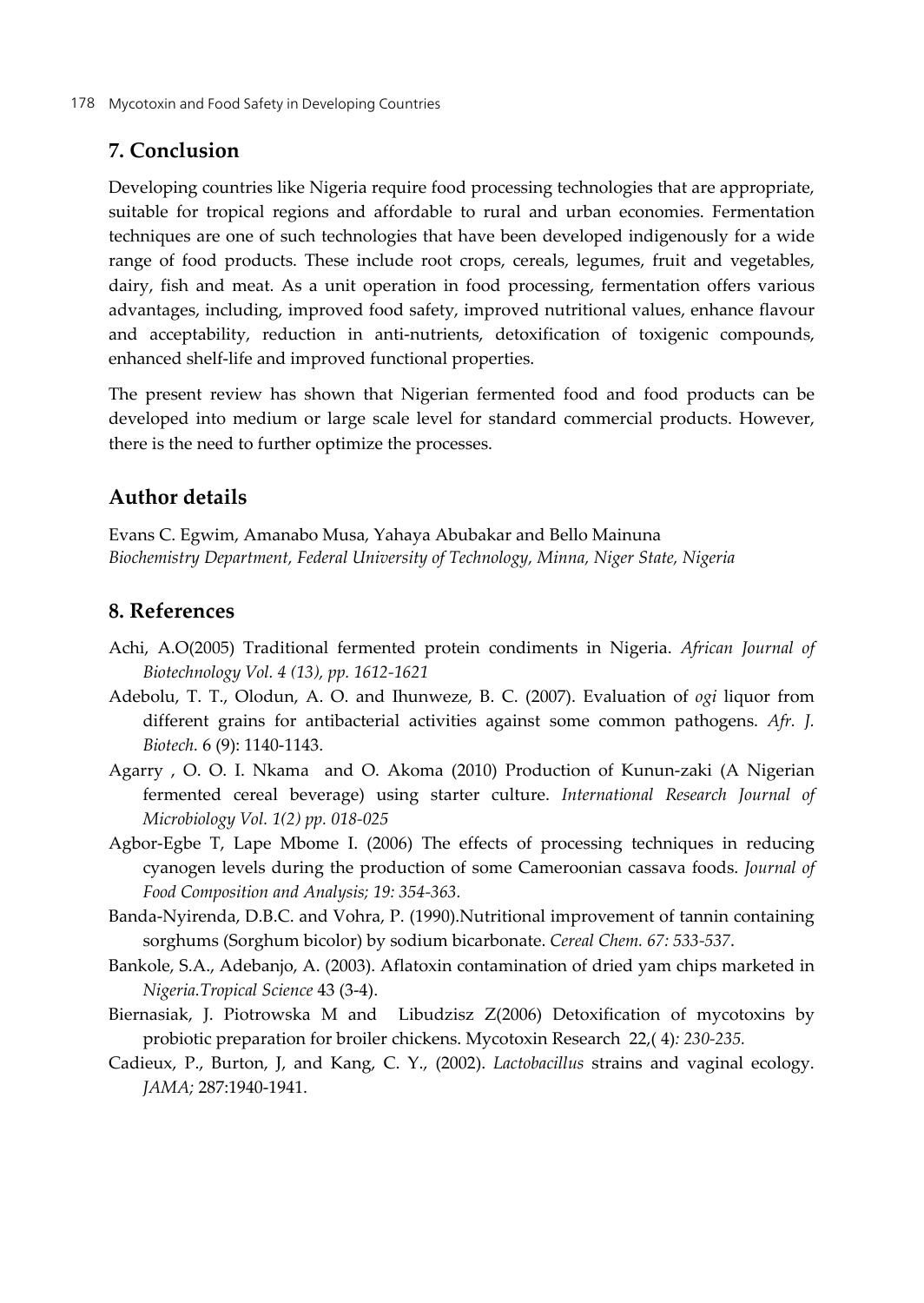# **7. Conclusion**

Developing countries like Nigeria require food processing technologies that are appropriate, suitable for tropical regions and affordable to rural and urban economies. Fermentation techniques are one of such technologies that have been developed indigenously for a wide range of food products. These include root crops, cereals, legumes, fruit and vegetables, dairy, fish and meat. As a unit operation in food processing, fermentation offers various advantages, including, improved food safety, improved nutritional values, enhance flavour and acceptability, reduction in anti-nutrients, detoxification of toxigenic compounds, enhanced shelf-life and improved functional properties.

The present review has shown that Nigerian fermented food and food products can be developed into medium or large scale level for standard commercial products. However, there is the need to further optimize the processes.

# **Author details**

Evans C. Egwim, Amanabo Musa, Yahaya Abubakar and Bello Mainuna *Biochemistry Department, Federal University of Technology, Minna, Niger State, Nigeria* 

# **8. References**

- Achi, A.O(2005) Traditional fermented protein condiments in Nigeria. *African Journal of Biotechnology Vol. 4 (13), pp. 1612-1621*
- Adebolu, T. T., Olodun, A. O. and Ihunweze, B. C. (2007). Evaluation of *ogi* liquor from different grains for antibacterial activities against some common pathogens. *Afr. J. Biotech.* 6 (9): 1140-1143.
- Agarry , O. O. I. Nkama and O. Akoma (2010) Production of Kunun-zaki (A Nigerian fermented cereal beverage) using starter culture. *International Research Journal of Microbiology Vol. 1(2) pp. 018-025*
- Agbor-Egbe T, Lape Mbome I. (2006) The effects of processing techniques in reducing cyanogen levels during the production of some Cameroonian cassava foods. *Journal of Food Composition and Analysis; 19: 354-363.*
- Banda-Nyirenda, D.B.C. and Vohra, P. (1990).Nutritional improvement of tannin containing sorghums (Sorghum bicolor) by sodium bicarbonate. *Cereal Chem. 67: 533-537*.
- Bankole, S.A., Adebanjo, A. (2003). Aflatoxin contamination of dried yam chips marketed in *Nigeria.Tropical Science* 43 (3-4).
- Biernasiak, J. Piotrowska M and Libudzisz Z(2006) Detoxification of mycotoxins by probiotic preparation for broiler chickens. Mycotoxin Research 22,( 4)*: 230-235.*
- Cadieux, P., Burton, J, and Kang, C. Y., (2002). *Lactobacillus* strains and vaginal ecology. *JAMA;* 287:1940-1941.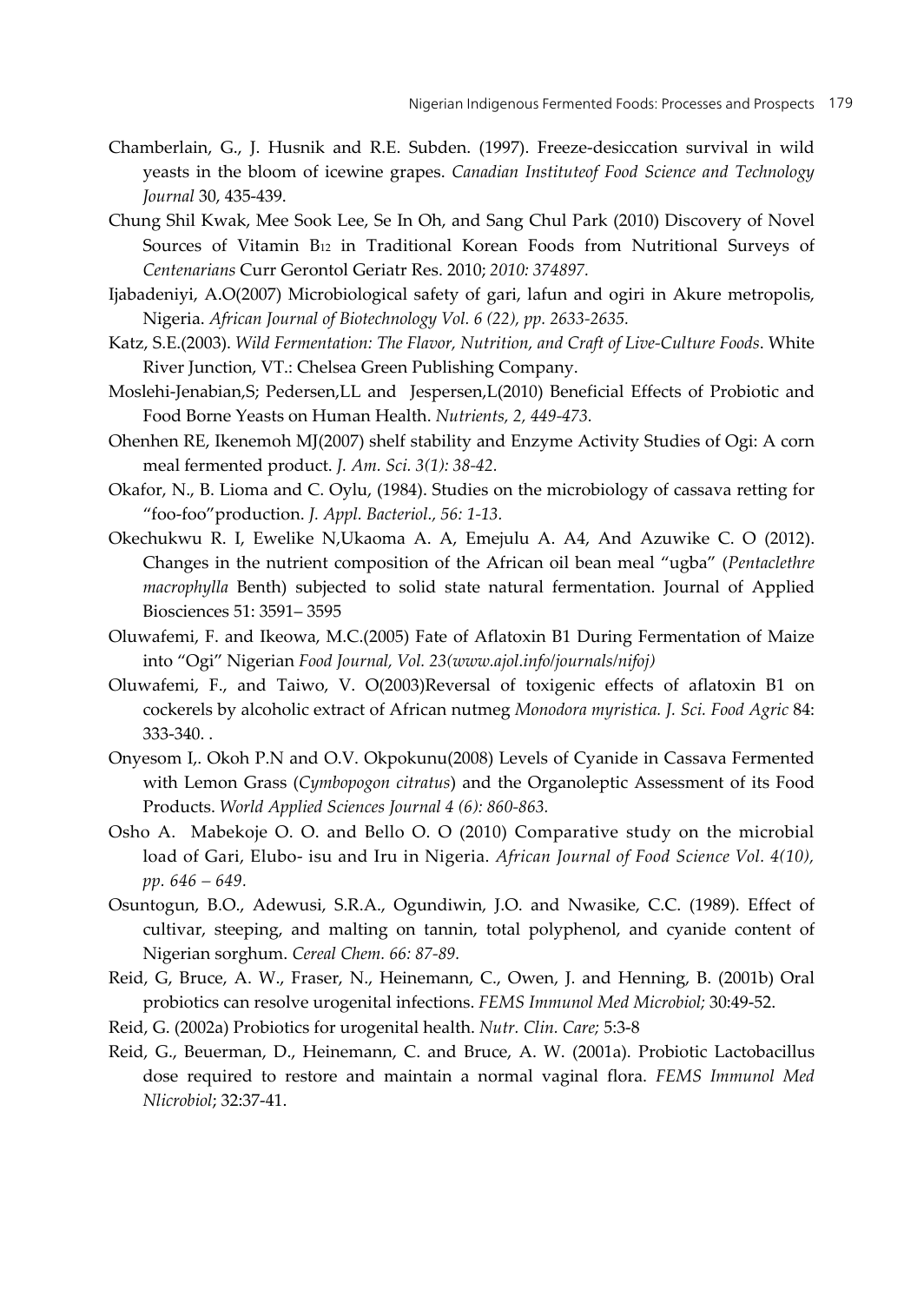- Chamberlain, G., J. Husnik and R.E. Subden. (1997). Freeze-desiccation survival in wild yeasts in the bloom of icewine grapes. *Canadian Instituteof Food Science and Technology Journal* 30, 435-439.
- Chung Shil Kwak, Mee Sook Lee, Se In Oh, and Sang Chul Park (2010) Discovery of Novel Sources of Vitamin B12 in Traditional Korean Foods from Nutritional Surveys of *Centenarians* Curr Gerontol Geriatr Res. 2010; *2010: 374897.*
- Ijabadeniyi, A.O(2007) Microbiological safety of gari, lafun and ogiri in Akure metropolis, Nigeria. *African Journal of Biotechnology Vol. 6 (22), pp. 2633-2635.*
- Katz, S.E.(2003). *Wild Fermentation: The Flavor, Nutrition, and Craft of Live-Culture Foods*. White River Junction, VT.: Chelsea Green Publishing Company.
- Moslehi-Jenabian,S; Pedersen,LL and Jespersen,L(2010) Beneficial Effects of Probiotic and Food Borne Yeasts on Human Health. *Nutrients, 2, 449-473.*
- Ohenhen RE, Ikenemoh MJ(2007) shelf stability and Enzyme Activity Studies of Ogi: A corn meal fermented product. *J. Am. Sci. 3(1): 38-42.*
- Okafor, N., B. Lioma and C. Oylu, (1984). Studies on the microbiology of cassava retting for "foo-foo"production. *J. Appl. Bacteriol., 56: 1-13.*
- Okechukwu R. I, Ewelike N,Ukaoma A. A, Emejulu A. A4, And Azuwike C. O (2012). Changes in the nutrient composition of the African oil bean meal "ugba" (*Pentaclethre macrophylla* Benth) subjected to solid state natural fermentation. Journal of Applied Biosciences 51: 3591– 3595
- Oluwafemi, F. and Ikeowa, M.C.(2005) Fate of Aflatoxin B1 During Fermentation of Maize into "Ogi" Nigerian *Food Journal, Vol. 23(www.ajol.info/journals/nifoj)*
- Oluwafemi, F., and Taiwo, V. O(2003)Reversal of toxigenic effects of aflatoxin B1 on cockerels by alcoholic extract of African nutmeg *Monodora myristica. J. Sci. Food Agric* 84: 333-340. .
- Onyesom I,. Okoh P.N and O.V. Okpokunu(2008) Levels of Cyanide in Cassava Fermented with Lemon Grass (*Cymbopogon citratus*) and the Organoleptic Assessment of its Food Products. *World Applied Sciences Journal 4 (6): 860-863.*
- Osho A. Mabekoje O. O. and Bello O. O (2010) Comparative study on the microbial load of Gari, Elubo- isu and Iru in Nigeria. *African Journal of Food Science Vol. 4(10), pp. 646 – 649.*
- Osuntogun, B.O., Adewusi, S.R.A., Ogundiwin, J.O. and Nwasike, C.C. (1989). Effect of cultivar, steeping, and malting on tannin, total polyphenol, and cyanide content of Nigerian sorghum. *Cereal Chem. 66: 87-89.*
- Reid, G, Bruce, A. W., Fraser, N., Heinemann, C., Owen, J. and Henning, B. (2001b) Oral probiotics can resolve urogenital infections. *FEMS Immunol Med Microbiol;* 30:49-52.
- Reid, G. (2002a) Probiotics for urogenital health. *Nutr. Clin. Care;* 5:3-8
- Reid, G., Beuerman, D., Heinemann, C. and Bruce, A. W. (2001a). Probiotic Lactobacillus dose required to restore and maintain a normal vaginal flora. *FEMS Immunol Med Nlicrobiol*; 32:37-41.